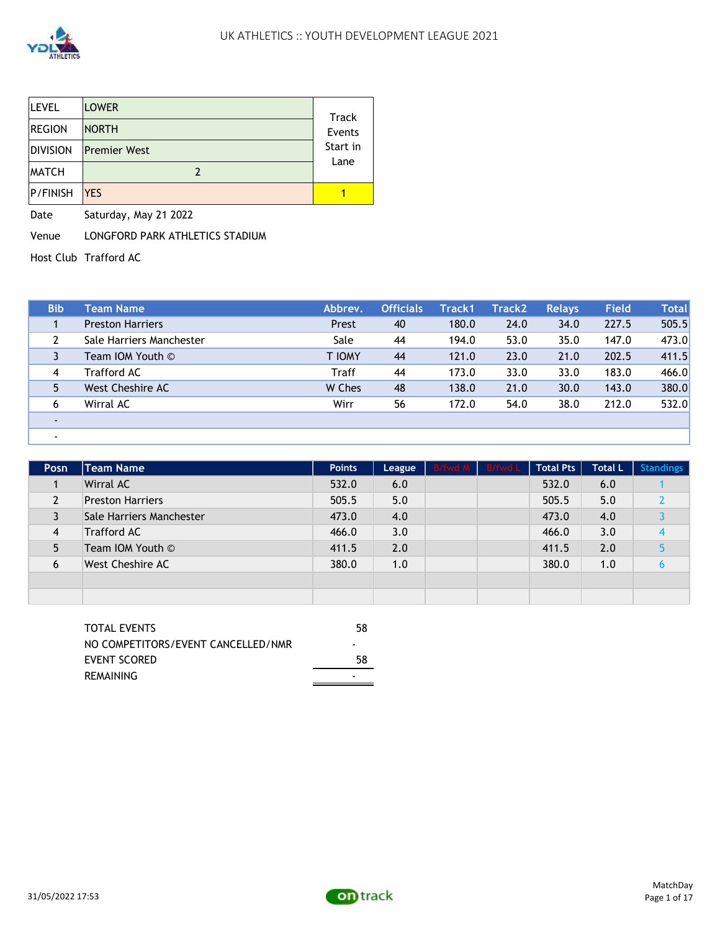

| <b>LEVEL</b>    | <b>LOWER</b>        | Track            |
|-----------------|---------------------|------------------|
| <b>REGION</b>   | <b>NORTH</b>        | Events           |
| <b>DIVISION</b> | <b>Premier West</b> | Start in<br>Lane |
| <b>MATCH</b>    |                     |                  |
| P/FINISH        | <b>YES</b>          |                  |

Date Saturday, May 21 2022

Venue LONGFORD PARK ATHLETICS STADIUM

Host Club Trafford AC

| <b>Bib</b> | Team Name                | Abbrev.       | <b>Officials</b> | Track1 | Track2 | <b>Relays</b> | Field | <b>Total</b> |
|------------|--------------------------|---------------|------------------|--------|--------|---------------|-------|--------------|
|            | <b>Preston Harriers</b>  | Prest         | 40               | 180.0  | 24.0   | 34.0          | 227.5 | 505.5        |
|            | Sale Harriers Manchester | Sale          | 44               | 194.0  | 53.0   | 35.0          | 147.0 | 473.0        |
|            | Team IOM Youth ©         | <b>T IOMY</b> | 44               | 121.0  | 23.0   | 21.0          | 202.5 | 411.5        |
| 4          | Trafford AC              | <b>Traff</b>  | 44               | 173.0  | 33.0   | 33.0          | 183.0 | 466.0        |
|            | West Cheshire AC         | W Ches        | 48               | 138.0  | 21.0   | 30.0          | 143.0 | 380.0        |
| 6          | Wirral AC                | Wirr          | 56               | 172.0  | 54.0   | 38.0          | 212.0 | 532.0        |
|            |                          |               |                  |        |        |               |       |              |
|            |                          |               |                  |        |        |               |       |              |

| <b>Posn</b> | <b>Team Name</b>         | <b>Points</b> | League | B/fwd M B/fwd L | <b>Total Pts</b> | <b>Total L</b> | <b>Standings</b> |
|-------------|--------------------------|---------------|--------|-----------------|------------------|----------------|------------------|
|             | Wirral AC                | 532.0         | 6.0    |                 | 532.0            | 6.0            |                  |
|             | <b>Preston Harriers</b>  | 505.5         | 5.0    |                 | 505.5            | 5.0            |                  |
|             | Sale Harriers Manchester | 473.0         | 4.0    |                 | 473.0            | 4.0            |                  |
| 4           | <b>Trafford AC</b>       | 466.0         | 3.0    |                 | 466.0            | 3.0            |                  |
|             | Team IOM Youth ©         | 411.5         | 2.0    |                 | 411.5            | 2.0            |                  |
| 6           | West Cheshire AC         | 380.0         | 1.0    |                 | 380.0            | 1.0            |                  |
|             |                          |               |        |                 |                  |                |                  |
|             |                          |               |        |                 |                  |                |                  |

L,

| TOTAL EVENTS                       | 58 |
|------------------------------------|----|
| NO COMPETITORS/EVENT CANCELLED/NMR | -  |
| EVENT SCORED                       | 58 |
| <b>REMAINING</b>                   | -  |

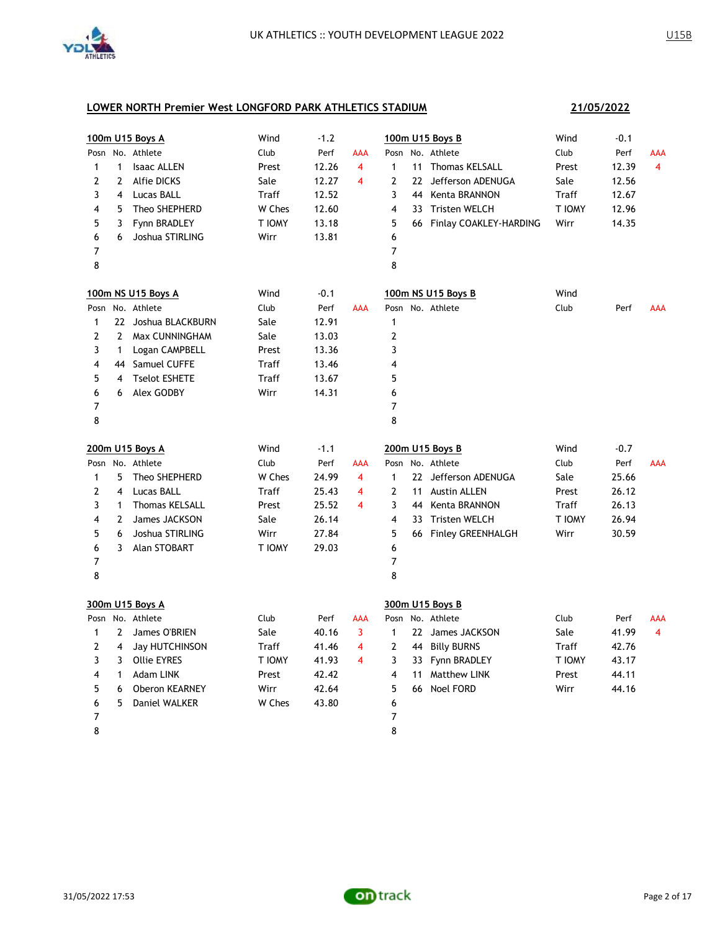

|              |                | 100m U15 Boys A       | Wind   | $-1.2$ |                         | 100m U15 Boys B                      | Wind   | $-0.1$ |                |
|--------------|----------------|-----------------------|--------|--------|-------------------------|--------------------------------------|--------|--------|----------------|
|              |                | Posn No. Athlete      | Club   | Perf   | AAA                     | No. Athlete<br>Posn                  | Club   | Perf   | AAA            |
| $\mathbf{1}$ | $\mathbf{1}$   | <b>Isaac ALLEN</b>    | Prest  | 12.26  | $\overline{4}$          | $\mathbf{1}$<br>11 Thomas KELSALL    | Prest  | 12.39  | 4              |
| 2            | $\mathbf{2}$   | <b>Alfie DICKS</b>    | Sale   | 12.27  | 4                       | 2<br>22 Jefferson ADENUGA            | Sale   | 12.56  |                |
| 3            | $\overline{4}$ | <b>Lucas BALL</b>     | Traff  | 12.52  |                         | 3<br>44 Kenta BRANNON                | Traff  | 12.67  |                |
| 4            | 5              | Theo SHEPHERD         | W Ches | 12.60  |                         | 4<br>33 Tristen WELCH                | T IOMY | 12.96  |                |
| 5            | 3              | Fynn BRADLEY          | T IOMY | 13.18  |                         | 5<br>66 Finlay COAKLEY-HARDING       | Wirr   | 14.35  |                |
| 6            | 6              | Joshua STIRLING       | Wirr   | 13.81  |                         | 6                                    |        |        |                |
| 7            |                |                       |        |        |                         | 7                                    |        |        |                |
| 8            |                |                       |        |        |                         | 8                                    |        |        |                |
|              |                | 100m NS U15 Boys A    | Wind   | $-0.1$ |                         | 100m NS U15 Boys B                   | Wind   |        |                |
|              |                | Posn No. Athlete      | Club   | Perf   | <b>AAA</b>              | Posn No. Athlete                     | Club   | Perf   | AAA            |
| $\mathbf{1}$ |                | 22 Joshua BLACKBURN   | Sale   | 12.91  |                         | 1                                    |        |        |                |
| 2            | $\mathbf{2}$   | Max CUNNINGHAM        | Sale   | 13.03  |                         | $\overline{\mathbf{c}}$              |        |        |                |
| 3            | $\mathbf{1}$   | Logan CAMPBELL        | Prest  | 13.36  |                         | 3                                    |        |        |                |
| 4            |                | 44 Samuel CUFFE       | Traff  | 13.46  |                         | 4                                    |        |        |                |
| 5            | 4              | <b>Tselot ESHETE</b>  | Traff  | 13.67  |                         | 5                                    |        |        |                |
| 6            | 6              | Alex GODBY            | Wirr   | 14.31  |                         | 6                                    |        |        |                |
| 7            |                |                       |        |        |                         | 7                                    |        |        |                |
| 8            |                |                       |        |        |                         | 8                                    |        |        |                |
|              |                | 200m U15 Boys A       | Wind   | $-1.1$ |                         | 200m U15 Boys B                      | Wind   | $-0.7$ |                |
|              |                | Posn No. Athlete      | Club   | Perf   | AAA                     | Posn No. Athlete                     | Club   | Perf   | <b>AAA</b>     |
| 1            | 5              | Theo SHEPHERD         | W Ches | 24.99  | 4                       | $\mathbf{1}$<br>22 Jefferson ADENUGA | Sale   | 25.66  |                |
| 2            | 4              | Lucas BALL            | Traff  | 25.43  | 4                       | $\overline{2}$<br>11 Austin ALLEN    | Prest  | 26.12  |                |
| 3            | $\mathbf{1}$   | <b>Thomas KELSALL</b> | Prest  | 25.52  | 4                       | 3<br>44 Kenta BRANNON                | Traff  | 26.13  |                |
| 4            | $\overline{2}$ | James JACKSON         | Sale   | 26.14  |                         | 4<br>33 Tristen WELCH                | T IOMY | 26.94  |                |
| 5            | 6              | Joshua STIRLING       | Wirr   | 27.84  |                         | 5<br>66 Finley GREENHALGH            | Wirr   | 30.59  |                |
| 6            | 3              | Alan STOBART          | T IOMY | 29.03  |                         | 6                                    |        |        |                |
| 7            |                |                       |        |        |                         | 7                                    |        |        |                |
| 8            |                |                       |        |        |                         | 8                                    |        |        |                |
|              |                | 300m U15 Boys A       |        |        |                         | 300m U15 Boys B                      |        |        |                |
|              |                | Posn No. Athlete      | Club   | Perf   | AAA                     | Posn No. Athlete                     | Club   | Perf   | AAA            |
| 1            | $\overline{2}$ | James O'BRIEN         | Sale   | 40.16  | 3                       | 22 James JACKSON<br>$\mathbf{1}$     | Sale   | 41.99  | $\overline{4}$ |
| 2            | $\overline{4}$ | Jay HUTCHINSON        | Traff  | 41.46  | $\overline{4}$          | $\overline{2}$<br>44 Billy BURNS     | Traff  | 42.76  |                |
| 3            | 3              | <b>Ollie EYRES</b>    | T IOMY | 41.93  | $\overline{\mathbf{4}}$ | 3<br>33 Fynn BRADLEY                 | T IOMY | 43.17  |                |
| 4            | $\mathbf{1}$   | Adam LINK             | Prest  | 42.42  |                         | 4<br><b>Matthew LINK</b><br>11       | Prest  | 44.11  |                |
| 5            | 6              | Oberon KEARNEY        | Wirr   | 42.64  |                         | 5<br>66 Noel FORD                    | Wirr   | 44.16  |                |
| 6            | 5              | Daniel WALKER         | W Ches | 43.80  |                         | 6                                    |        |        |                |
| 7            |                |                       |        |        |                         | 7                                    |        |        |                |
| 8            |                |                       |        |        |                         | 8                                    |        |        |                |

**21/05/2022**

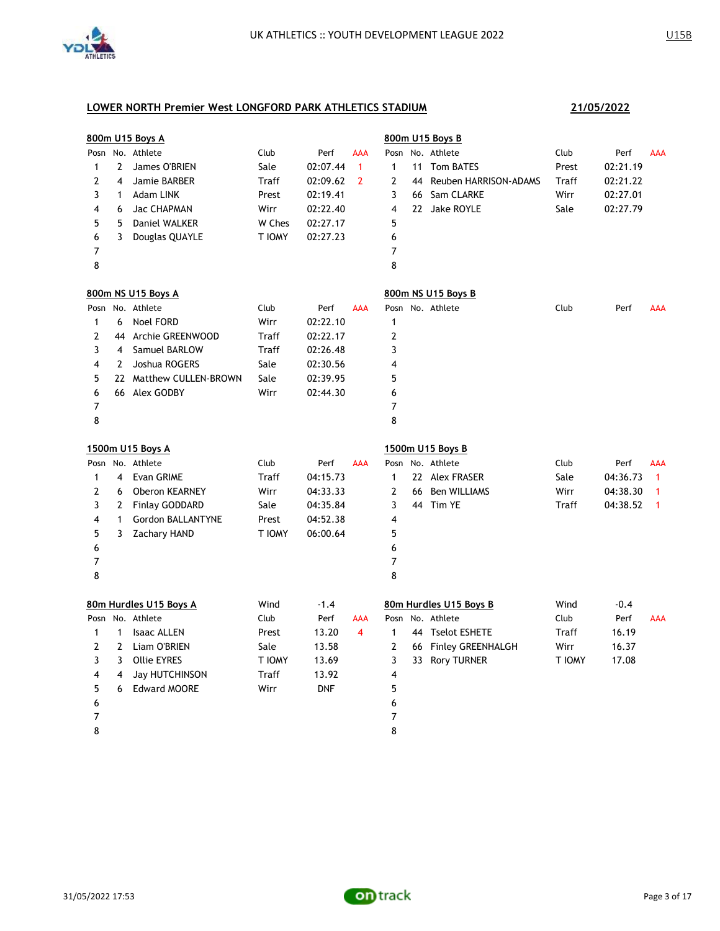

|              |                | 800m U15 Boys A         |        |            |                |                | 800m U15 Boys B          |        |          |              |
|--------------|----------------|-------------------------|--------|------------|----------------|----------------|--------------------------|--------|----------|--------------|
| Posn         |                | No. Athlete             | Club   | Perf       | AAA            | Posn           | No. Athlete              | Club   | Perf     | AAA          |
| 1            | 2              | James O'BRIEN           | Sale   | 02:07.44   | $\mathbf{1}$   | $\mathbf{1}$   | 11 Tom BATES             | Prest  | 02:21.19 |              |
| 2            | $\overline{4}$ | Jamie BARBER            | Traff  | 02:09.62   | $\overline{2}$ | 2              | 44 Reuben HARRISON-ADAMS | Traff  | 02:21.22 |              |
| 3            | $\mathbf{1}$   | Adam LINK               | Prest  | 02:19.41   |                | 3              | 66 Sam CLARKE            | Wirr   | 02:27.01 |              |
| 4            | 6              | Jac CHAPMAN             | Wirr   | 02:22.40   |                | 4              | 22 Jake ROYLE            | Sale   | 02:27.79 |              |
| 5            | 5              | Daniel WALKER           | W Ches | 02:27.17   |                | 5              |                          |        |          |              |
| 6            | 3              | Douglas QUAYLE          | T IOMY | 02:27.23   |                | 6              |                          |        |          |              |
| 7            |                |                         |        |            |                | 7              |                          |        |          |              |
| 8            |                |                         |        |            |                | 8              |                          |        |          |              |
|              |                | 800m NS U15 Boys A      |        |            |                |                | 800m NS U15 Boys B       |        |          |              |
|              |                | Posn No. Athlete        | Club   | Perf       | <b>AAA</b>     |                | Posn No. Athlete         | Club   | Perf     | <b>AAA</b>   |
| 1            | 6              | <b>Noel FORD</b>        | Wirr   | 02:22.10   |                | $\mathbf{1}$   |                          |        |          |              |
| 2            |                | 44 Archie GREENWOOD     | Traff  | 02:22.17   |                | $\overline{2}$ |                          |        |          |              |
| 3            | $\overline{4}$ | Samuel BARLOW           | Traff  | 02:26.48   |                | 3              |                          |        |          |              |
| 4            | $\overline{2}$ | Joshua ROGERS           | Sale   | 02:30.56   |                | 4              |                          |        |          |              |
| 5            |                | 22 Matthew CULLEN-BROWN | Sale   | 02:39.95   |                | 5              |                          |        |          |              |
| 6            |                | 66 Alex GODBY           | Wirr   | 02:44.30   |                | 6              |                          |        |          |              |
| 7            |                |                         |        |            |                | $\overline{7}$ |                          |        |          |              |
| 8            |                |                         |        |            |                | 8              |                          |        |          |              |
|              |                | 1500m U15 Boys A        |        |            |                |                | 1500m U15 Boys B         |        |          |              |
|              |                | Posn No. Athlete        | Club   | Perf       | <b>AAA</b>     |                | Posn No. Athlete         | Club   | Perf     | AAA          |
| $\mathbf{1}$ | 4              | <b>Evan GRIME</b>       | Traff  | 04:15.73   |                | $\mathbf{1}$   | 22 Alex FRASER           | Sale   | 04:36.73 | $\mathbf{1}$ |
| 2            | 6              | Oberon KEARNEY          | Wirr   | 04:33.33   |                | $\overline{2}$ | 66 Ben WILLIAMS          | Wirr   | 04:38.30 | $\mathbf{1}$ |
| 3            | 2              | Finlay GODDARD          | Sale   | 04:35.84   |                | 3              | 44 Tim YE                | Traff  | 04:38.52 | $\mathbf{1}$ |
| 4            | $\mathbf{1}$   | Gordon BALLANTYNE       | Prest  | 04:52.38   |                | 4              |                          |        |          |              |
| 5            | 3              | <b>Zachary HAND</b>     | T IOMY | 06:00.64   |                | 5              |                          |        |          |              |
| 6            |                |                         |        |            |                | 6              |                          |        |          |              |
| 7            |                |                         |        |            |                | 7              |                          |        |          |              |
| 8            |                |                         |        |            |                | 8              |                          |        |          |              |
|              |                | 80m Hurdles U15 Boys A  | Wind   | $-1.4$     |                |                | 80m Hurdles U15 Boys B   | Wind   | $-0.4$   |              |
|              |                | Posn No. Athlete        | Club   | Perf       | AAA            |                | Posn No. Athlete         | Club   | Perf     | AAA          |
| $\mathbf{1}$ | $\mathbf{1}$   | <b>Isaac ALLEN</b>      | Prest  | 13.20      | $\overline{4}$ | $\mathbf{1}$   | 44 Tselot ESHETE         | Traff  | 16.19    |              |
| 2            | 2              | Liam O'BRIEN            | Sale   | 13.58      |                | 2              | 66 Finley GREENHALGH     | Wirr   | 16.37    |              |
| 3            | 3              | <b>Ollie EYRES</b>      | T IOMY | 13.69      |                | 3              | 33 Rory TURNER           | T IOMY | 17.08    |              |
| 4            | 4              | <b>Jay HUTCHINSON</b>   | Traff  | 13.92      |                | 4              |                          |        |          |              |
| 5            | 6              | <b>Edward MOORE</b>     | Wirr   | <b>DNF</b> |                | 5              |                          |        |          |              |
| 6            |                |                         |        |            |                | 6              |                          |        |          |              |
| 7            |                |                         |        |            |                | 7              |                          |        |          |              |
| 8            |                |                         |        |            |                | 8              |                          |        |          |              |

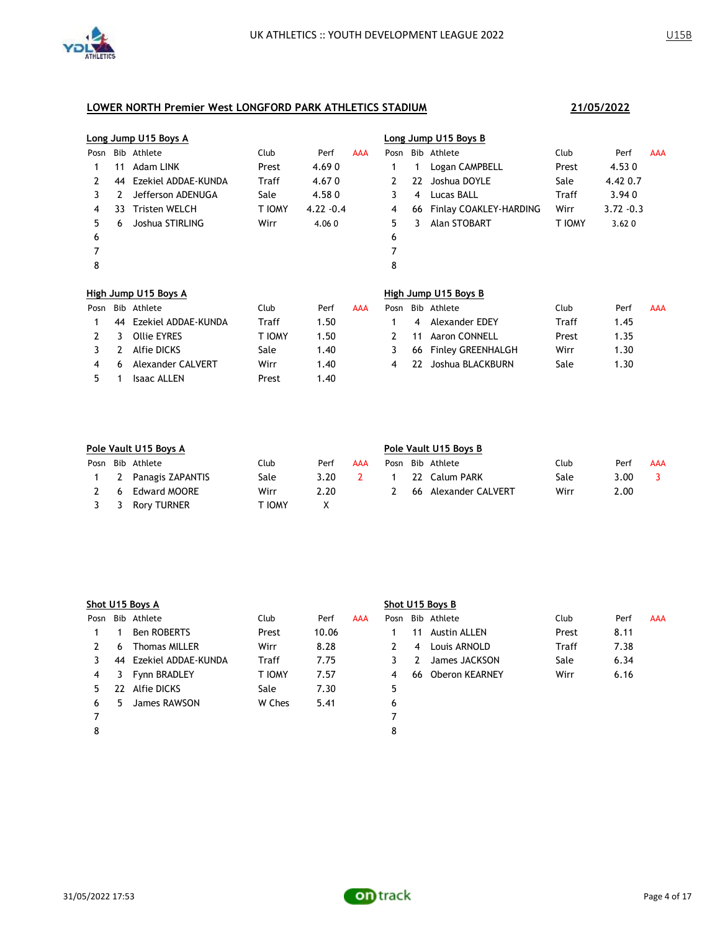

|      |    | Long Jump U15 Boys A |        |              |     |      |    | Long Jump U15 Boys B     |        |              |            |
|------|----|----------------------|--------|--------------|-----|------|----|--------------------------|--------|--------------|------------|
| Posn |    | Bib Athlete          | Club   | Perf         | AAA | Posn |    | Bib Athlete              | Club   | Perf         | <b>AAA</b> |
|      | 11 | Adam LINK            | Prest  | 4.690        |     | 1    | 1  | Logan CAMPBELL           | Prest  | 4.530        |            |
| 2    | 44 | Ezekiel ADDAE-KUNDA  | Traff  | 4.670        |     | 2    | 22 | Joshua DOYLE             | Sale   | 4.42 0.7     |            |
| 3    | 2  | Jefferson ADENUGA    | Sale   | 4.580        |     | 3    | 4  | Lucas BALL               | Traff  | 3.940        |            |
| 4    | 33 | <b>Tristen WELCH</b> | T IOMY | $4.22 - 0.4$ |     | 4    | 66 | Finlay COAKLEY-HARDING   | Wirr   | $3.72 - 0.3$ |            |
| 5    | 6  | Joshua STIRLING      | Wirr   | 4.060        |     | 5    | 3  | Alan STOBART             | T IOMY | 3.620        |            |
| 6    |    |                      |        |              |     | 6    |    |                          |        |              |            |
| 7    |    |                      |        |              |     | 7    |    |                          |        |              |            |
| 8    |    |                      |        |              |     | 8    |    |                          |        |              |            |
|      |    | High Jump U15 Boys A |        |              |     |      |    | High Jump U15 Boys B     |        |              |            |
| Posn |    | Bib Athlete          | Club   | Perf         | AAA | Posn |    | Bib Athlete              | Club   | Perf         | AAA        |
| 1    | 44 | Ezekiel ADDAE-KUNDA  | Traff  | 1.50         |     | 1    | 4  | Alexander EDEY           | Traff  | 1.45         |            |
| 2    | 3  | <b>Ollie EYRES</b>   | T IOMY | 1.50         |     | 2    | 11 | Aaron CONNELL            | Prest  | 1.35         |            |
| 3    | 2  | <b>Alfie DICKS</b>   | Sale   | 1.40         |     | 3    | 66 | <b>Finley GREENHALGH</b> | Wirr   | 1.30         |            |
| 4    | 6  | Alexander CALVERT    | Wirr   | 1.40         |     | 4    | 22 | Joshua BLACKBURN         | Sale   | 1.30         |            |
| 5.   | 1  | <b>Isaac ALLEN</b>   | Prest  | 1.40         |     |      |    |                          |        |              |            |

|    | Pole Vault U15 Boys A |        |      |     | Pole Vault U15 Boys B |     |                   |      |      |     |  |  |
|----|-----------------------|--------|------|-----|-----------------------|-----|-------------------|------|------|-----|--|--|
|    | Posn Bib Athlete      | Club   | Perf | AAA | Posn                  |     | Bib Athlete       | Club | Perf | AAA |  |  |
|    | 2 Panagis ZAPANTIS    | Sale   | 3.20 |     |                       |     | 22 Calum PARK     | Sale | 3.00 |     |  |  |
| -6 | Edward MOORE          | Wirr   | 2.20 |     |                       | 66. | Alexander CALVERT | Wirr | 2.00 |     |  |  |
|    | 3 3 Rory TURNER       | ' IOMY |      |     |                       |     |                   |      |      |     |  |  |

|      |    | Shot U15 Boys A      |        |       |     | Shot U15 Boys B |    |                  |       |      |     |
|------|----|----------------------|--------|-------|-----|-----------------|----|------------------|-------|------|-----|
| Posn |    | Bib Athlete          | Club   | Perf  | AAA |                 |    | Posn Bib Athlete | Club  | Perf | AAA |
|      |    | <b>Ben ROBERTS</b>   | Prest  | 10.06 |     |                 | 11 | Austin ALLEN     | Prest | 8.11 |     |
| 2    | 6  | <b>Thomas MILLER</b> | Wirr   | 8.28  |     |                 | 4  | Louis ARNOLD     | Traff | 7.38 |     |
|      | 44 | Ezekiel ADDAE-KUNDA  | Traff  | 7.75  |     | 3               |    | James JACKSON    | Sale  | 6.34 |     |
| 4    | 3  | Fynn BRADLEY         | T IOMY | 7.57  |     | 4               | 66 | Oberon KEARNEY   | Wirr  | 6.16 |     |
| 5.   | 22 | Alfie DICKS          | Sale   | 7.30  |     | 5               |    |                  |       |      |     |
| 6    | 5. | James RAWSON         | W Ches | 5.41  |     | 6               |    |                  |       |      |     |
|      |    |                      |        |       |     |                 |    |                  |       |      |     |
| 8    |    |                      |        |       |     | 8               |    |                  |       |      |     |
|      |    |                      |        |       |     |                 |    |                  |       |      |     |

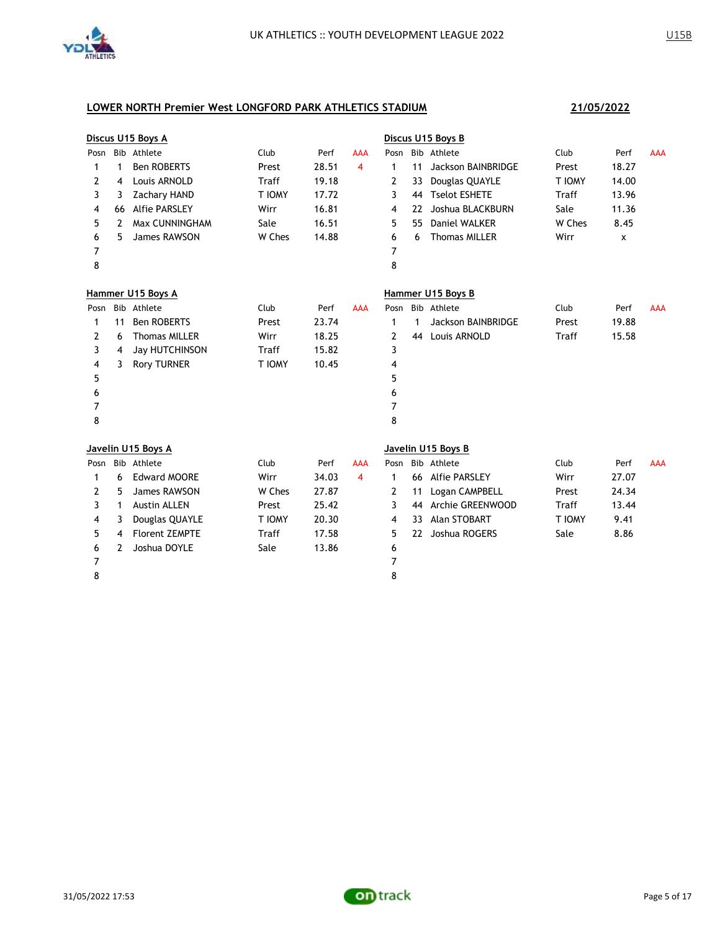

|      |    | Discus U15 Boys A     |        |       |            |      |    | Discus U15 Boys B    |        |       |            |
|------|----|-----------------------|--------|-------|------------|------|----|----------------------|--------|-------|------------|
| Posn |    | Bib Athlete           | Club   | Perf  | <b>AAA</b> | Posn |    | Bib Athlete          | Club   | Perf  | <b>AAA</b> |
| 1    | 1  | Ben ROBERTS           | Prest  | 28.51 | 4          | 1    | 11 | Jackson BAINBRIDGE   | Prest  | 18.27 |            |
| 2    | 4  | Louis ARNOLD          | Traff  | 19.18 |            | 2    | 33 | Douglas QUAYLE       | T IOMY | 14.00 |            |
| 3    | 3  | <b>Zachary HAND</b>   | T IOMY | 17.72 |            | 3    | 44 | <b>Tselot ESHETE</b> | Traff  | 13.96 |            |
| 4    | 66 | <b>Alfie PARSLEY</b>  | Wirr   | 16.81 |            | 4    | 22 | Joshua BLACKBURN     | Sale   | 11.36 |            |
| 5    | 2  | Max CUNNINGHAM        | Sale   | 16.51 |            | 5    | 55 | <b>Daniel WALKER</b> | W Ches | 8.45  |            |
| 6    | 5  | James RAWSON          | W Ches | 14.88 |            | 6    | 6  | <b>Thomas MILLER</b> | Wirr   | x     |            |
| 7    |    |                       |        |       |            | 7    |    |                      |        |       |            |
| 8    |    |                       |        |       |            | 8    |    |                      |        |       |            |
|      |    | Hammer U15 Boys A     |        |       |            |      |    | Hammer U15 Boys B    |        |       |            |
| Posn |    | Bib Athlete           | Club   | Perf  | <b>AAA</b> | Posn |    | Bib Athlete          | Club   | Perf  | <b>AAA</b> |
| 1    | 11 | <b>Ben ROBERTS</b>    | Prest  | 23.74 |            | 1    | 1  | Jackson BAINBRIDGE   | Prest  | 19.88 |            |
| 2    | 6  | <b>Thomas MILLER</b>  | Wirr   | 18.25 |            | 2    | 44 | Louis ARNOLD         | Traff  | 15.58 |            |
| 3    | 4  | <b>Jay HUTCHINSON</b> | Traff  | 15.82 |            | 3    |    |                      |        |       |            |
| 4    | 3  | <b>Rory TURNER</b>    | T IOMY | 10.45 |            | 4    |    |                      |        |       |            |
| 5    |    |                       |        |       |            | 5    |    |                      |        |       |            |
| 6    |    |                       |        |       |            | 6    |    |                      |        |       |            |
| 7    |    |                       |        |       |            | 7    |    |                      |        |       |            |
| 8    |    |                       |        |       |            | 8    |    |                      |        |       |            |
|      |    | Javelin U15 Boys A    |        |       |            |      |    | Javelin U15 Boys B   |        |       |            |
| Posn |    | Bib Athlete           | Club   | Perf  | AAA        | Posn |    | Bib Athlete          | Club   | Perf  | <b>AAA</b> |
| 1    | 6  | <b>Edward MOORE</b>   | Wirr   | 34.03 | 4          | 1    |    | 66 Alfie PARSLEY     | Wirr   | 27.07 |            |
| 2    | 5  | James RAWSON          | W Ches | 27.87 |            | 2    | 11 | Logan CAMPBELL       | Prest  | 24.34 |            |
| 3    | 1  | <b>Austin ALLEN</b>   | Prest  | 25.42 |            | 3    | 44 | Archie GREENWOOD     | Traff  | 13.44 |            |
| 4    | 3  | Douglas QUAYLE        | T IOMY | 20.30 |            | 4    | 33 | Alan STOBART         | T IOMY | 9.41  |            |
| 5    | 4  | <b>Florent ZEMPTE</b> | Traff  | 17.58 |            | 5    | 22 | Joshua ROGERS        | Sale   | 8.86  |            |
| 6    | 2  | Joshua DOYLE          | Sale   | 13.86 |            | 6    |    |                      |        |       |            |
| 7    |    |                       |        |       |            | 7    |    |                      |        |       |            |
| 8    |    |                       |        |       |            | 8    |    |                      |        |       |            |
|      |    |                       |        |       |            |      |    |                      |        |       |            |

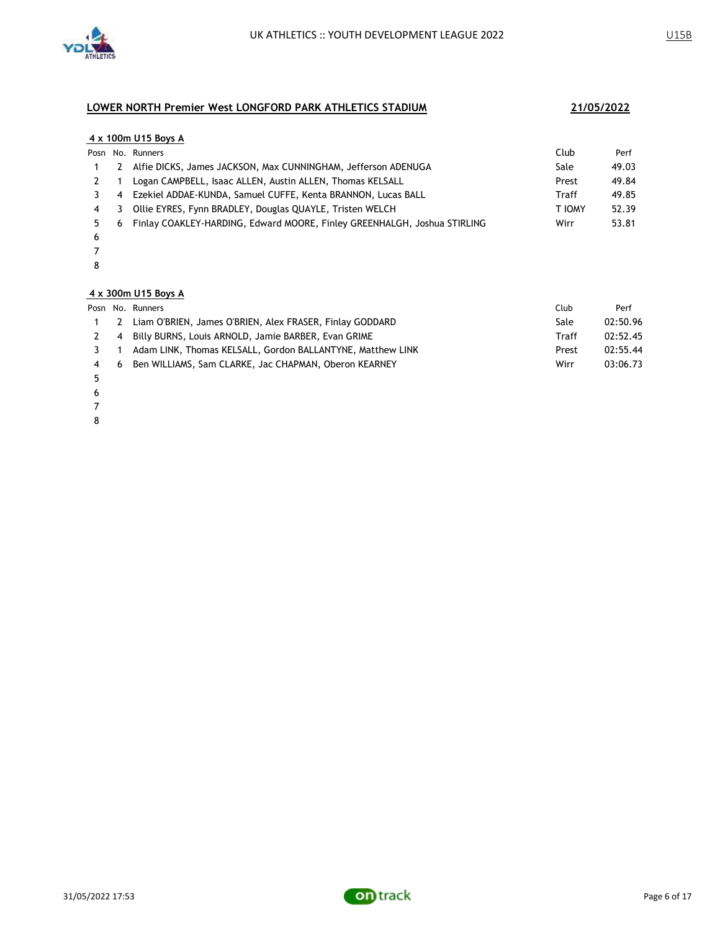

### **4 x 100m U15 Boys A**

|   |                           | Posn No. Runners                                                         | Club   | Perf  |
|---|---------------------------|--------------------------------------------------------------------------|--------|-------|
|   | <sup>2</sup>              | Alfie DICKS, James JACKSON, Max CUNNINGHAM, Jefferson ADENUGA            | Sale   | 49.03 |
|   |                           | Logan CAMPBELL, Isaac ALLEN, Austin ALLEN, Thomas KELSALL                | Prest  | 49.84 |
|   | 4                         | Ezekiel ADDAE-KUNDA, Samuel CUFFE, Kenta BRANNON, Lucas BALL             | Traff  | 49.85 |
| 4 | $\overline{\phantom{a}3}$ | Ollie EYRES, Fynn BRADLEY, Douglas QUAYLE, Tristen WELCH                 | T IOMY | 52.39 |
|   | -6                        | Finlay COAKLEY-HARDING, Edward MOORE, Finley GREENHALGH, Joshua STIRLING | Wirr   | 53.81 |
|   |                           |                                                                          |        |       |

- 
- 

### **4 x 300m U15 Boys A**

|     | Posn No. Runners                                           | Club  | Perf     |
|-----|------------------------------------------------------------|-------|----------|
|     | 2 Liam O'BRIEN, James O'BRIEN, Alex FRASER, Finlay GODDARD | Sale  | 02:50.96 |
|     | 2 4 Billy BURNS, Louis ARNOLD, Jamie BARBER, Evan GRIME    | Traff | 02:52.45 |
|     | Adam LINK, Thomas KELSALL, Gordon BALLANTYNE, Matthew LINK | Prest | 02:55.44 |
| 4 6 | Ben WILLIAMS, Sam CLARKE, Jac CHAPMAN, Oberon KEARNEY      | Wirr  | 03:06.73 |

- 
- 
- 
- 

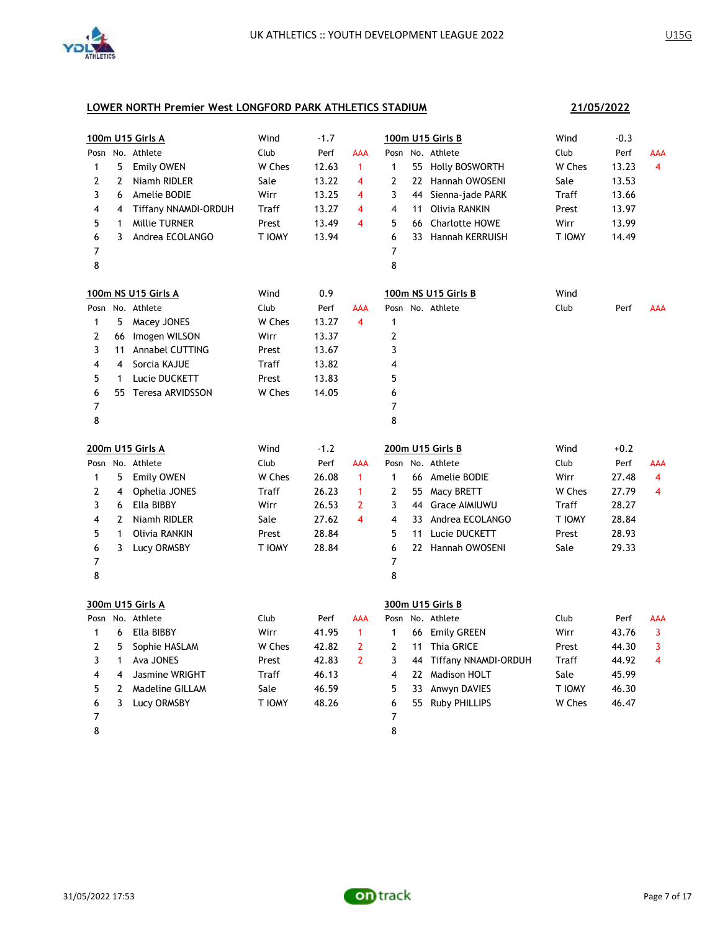

# **100m U15 Girls A** Wind -1.7 **100m U15 Girls B** Wind -0.3 Posn No. Athlete Club Perf AAA Posn No. Athlete Club Perf AAA 1 5 Emily OWEN W Ches 12.63 1 1 55 Holly BOSWORTH W Ches 13.23 4 2 2 Niamh RIDLER 5ale 13.22 4 2 22 Hannah OWOSENI 5ale 13.53 3 6 Amelie BODIE Wirr 13.25 4 3 44 Sienna-jade PARK Traff 13.66 4 4 Tiffany NNAMDI-ORDUH Traff 13.27 4 4 11 Olivia RANKIN Prest 13.97 5 1 Millie TURNER Prest 13.49 4 5 66 Charlotte HOWE Wirr 13.99 6 3 Andrea ECOLANGO T IOMY 13.94 6 33 Hannah KERRUISH T IOMY 14.49 7 7 8 8 **100m NS U15 Girls A** Wind 0.9 **100m NS U15 Girls B** Wind Posn No. Athlete **Club** Club Perf AAA Posn No. Athlete Club Perf AAA 1 5 Macey JONES W Ches 13.27 4 1 2 66 Imogen WILSON Wirr 13.37 2 3 11 Annabel CUTTING Prest 13.67 3 4 4 Sorcia KAJUE Traff 13.82 4 5 1 Lucie DUCKETT Prest 13.83 5 6 55 Teresa ARVIDSSON W Ches 14.05 6 7 7 8 8 **200m U15 Girls A** Wind -1.2 **200m U15 Girls B** Wind +0.2 Posn No. Athlete Club Perf AAA Posn No. Athlete Club Perf AAA 1 5 Emily OWEN W Ches 26.08 1 1 66 Amelie BODIE Wirr 27.48 4 2 4 Ophelia JONES Traff 26.23 1 2 55 Macy BRETT W Ches 27.79 4 3 6 Ella BIBBY Wirr 26.53 2 3 44 Grace AIMIUWU Traff 28.27 4 2 Niamh RIDLER Sale 27.62 4 4 33 Andrea ECOLANGO T IOMY 28.84 5 1 Olivia RANKIN Prest 28.84 5 11 Lucie DUCKETT Prest 28.93 6 3 Lucy ORMSBY T IOMY 28.84 6 22 Hannah OWOSENI Sale 29.33 7 7 8 8 **300m U15 Girls A 300m U15 Girls B** Posn No. Athlete Club Perf AAA Posn No. Athlete Club Perf AAA 1 6 Ella BIBBY Wirr 41.95 1 1 66 Emily GREEN Wirr 43.76 3 2 5 Sophie HASLAM W Ches 42.82 2 2 11 Thia GRICE Prest 44.30 3 3 1 Ava JONES Prest 42.83 2 3 44 Tiffany NNAMDI-ORDUH Traff 44.92 4 4 4 Jasmine WRIGHT Traff 46.13 4 22 Madison HOLT 5ale 45.99 5 2 Madeline GILLAM Sale 46.59 5 33 Anwyn DAVIES T IOMY 46.30 6 3 Lucy ORMSBY T IOMY 48.26 6 55 Ruby PHILLIPS W Ches 46.47 7 7

8 8

**21/05/2022**

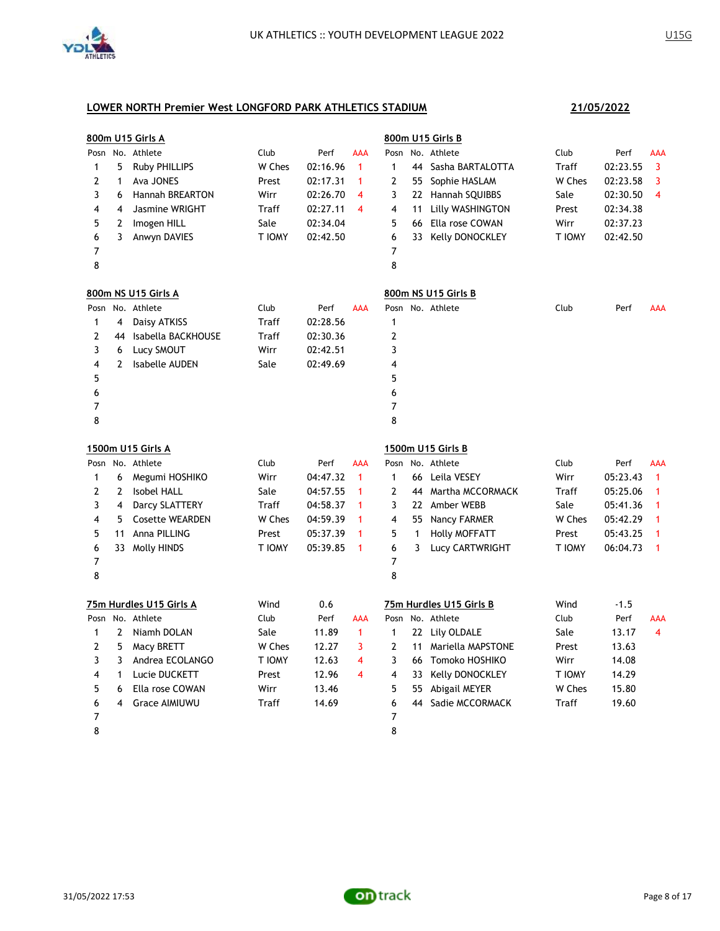

|                |                | 800m U15 Girls A        |        |          |              |                |    | 800m U15 Girls B        |        |          |              |
|----------------|----------------|-------------------------|--------|----------|--------------|----------------|----|-------------------------|--------|----------|--------------|
|                |                | Posn No. Athlete        | Club   | Perf     | AAA          | Posn           |    | No. Athlete             | Club   | Perf     | AAA          |
| 1              | 5              | <b>Ruby PHILLIPS</b>    | W Ches | 02:16.96 | $\mathbf{1}$ | $\mathbf{1}$   | 44 | Sasha BARTALOTTA        | Traff  | 02:23.55 | 3            |
| 2              | $\mathbf{1}$   | Ava JONES               | Prest  | 02:17.31 | $\mathbf{1}$ | 2              | 55 | Sophie HASLAM           | W Ches | 02:23.58 | 3            |
| 3              | 6              | <b>Hannah BREARTON</b>  | Wirr   | 02:26.70 | 4            | 3              |    | 22 Hannah SQUIBBS       | Sale   | 02:30.50 | 4            |
| 4              | 4              | Jasmine WRIGHT          | Traff  | 02:27.11 | 4            | $\overline{4}$ | 11 | Lilly WASHINGTON        | Prest  | 02:34.38 |              |
| 5              | $\overline{2}$ | Imogen HILL             | Sale   | 02:34.04 |              | 5              | 66 | Ella rose COWAN         | Wirr   | 02:37.23 |              |
| 6              | 3              | Anwyn DAVIES            | T IOMY | 02:42.50 |              | 6              | 33 | Kelly DONOCKLEY         | T IOMY | 02:42.50 |              |
| 7              |                |                         |        |          |              | 7              |    |                         |        |          |              |
| 8              |                |                         |        |          |              | 8              |    |                         |        |          |              |
|                |                | 800m NS U15 Girls A     |        |          |              |                |    | 800m NS U15 Girls B     |        |          |              |
| Posn           |                | No. Athlete             | Club   | Perf     | AAA          |                |    | Posn No. Athlete        | Club   | Perf     | AAA          |
| 1              | 4              | Daisy ATKISS            | Traff  | 02:28.56 |              | $\mathbf{1}$   |    |                         |        |          |              |
| 2              | 44             | Isabella BACKHOUSE      | Traff  | 02:30.36 |              | 2              |    |                         |        |          |              |
| 3              | 6              | Lucy SMOUT              | Wirr   | 02:42.51 |              | 3              |    |                         |        |          |              |
| 4              | $\mathbf{2}$   | <b>Isabelle AUDEN</b>   | Sale   | 02:49.69 |              | 4              |    |                         |        |          |              |
| 5              |                |                         |        |          |              | 5              |    |                         |        |          |              |
| 6              |                |                         |        |          |              | 6              |    |                         |        |          |              |
| 7              |                |                         |        |          |              | 7              |    |                         |        |          |              |
| 8              |                |                         |        |          |              | 8              |    |                         |        |          |              |
|                |                | 1500m U15 Girls A       |        |          |              |                |    | 1500m U15 Girls B       |        |          |              |
|                |                | Posn No. Athlete        | Club   | Perf     | AAA          | Posn           |    | No. Athlete             | Club   | Perf     | <b>AAA</b>   |
| 1              | 6              | Megumi HOSHIKO          | Wirr   | 04:47.32 | $\mathbf{1}$ | $\mathbf{1}$   | 66 | Leila VESEY             | Wirr   | 05:23.43 | $\mathbf{1}$ |
| $\overline{2}$ | $\mathbf{2}$   | <b>Isobel HALL</b>      | Sale   | 04:57.55 | 1            | 2              | 44 | Martha MCCORMACK        | Traff  | 05:25.06 | 1            |
| 3              | 4              | Darcy SLATTERY          | Traff  | 04:58.37 | 1            | 3              |    | 22 Amber WEBB           | Sale   | 05:41.36 | 1            |
| 4              | 5              | <b>Cosette WEARDEN</b>  | W Ches | 04:59.39 | 1            | 4              | 55 | Nancy FARMER            | W Ches | 05:42.29 | 1            |
| 5              | 11             | Anna PILLING            | Prest  | 05:37.39 | 1            | 5              | 1  | <b>Holly MOFFATT</b>    | Prest  | 05:43.25 | 1            |
| 6              |                | 33 Molly HINDS          | T IOMY | 05:39.85 | $\mathbf{1}$ | 6              | 3  | Lucy CARTWRIGHT         | T IOMY | 06:04.73 | 1            |
| $\overline{7}$ |                |                         |        |          |              | 7              |    |                         |        |          |              |
| 8              |                |                         |        |          |              | 8              |    |                         |        |          |              |
|                |                | 75m Hurdles U15 Girls A | Wind   | 0.6      |              |                |    | 75m Hurdles U15 Girls B | Wind   | $-1.5$   |              |
|                |                | Posn No. Athlete        | Club   | Perf     | AAA          |                |    | Posn No. Athlete        | Club   | Perf     | AAA          |
| 1              | $\mathbf{2}$   | Niamh DOLAN             | Sale   | 11.89    | $\mathbf{1}$ | $\mathbf{1}$   |    | 22 Lily OLDALE          | Sale   | 13.17    | 4            |
| 2              | 5              | Macy BRETT              | W Ches | 12.27    | 3            | 2              | 11 | Mariella MAPSTONE       | Prest  | 13.63    |              |
| 3              | 3              | Andrea ECOLANGO         | T IOMY | 12.63    | 4            | 3              | 66 | Tomoko HOSHIKO          | Wirr   | 14.08    |              |
| 4              | 1              | Lucie DUCKETT           | Prest  | 12.96    | 4            | 4              | 33 | Kelly DONOCKLEY         | T IOMY | 14.29    |              |
| 5              | 6              | Ella rose COWAN         | Wirr   | 13.46    |              | 5              | 55 | Abigail MEYER           | W Ches | 15.80    |              |
| 6              | 4              | <b>Grace AIMIUWU</b>    | Traff  | 14.69    |              | 6              | 44 | Sadie MCCORMACK         | Traff  | 19.60    |              |
| 7              |                |                         |        |          |              | 7              |    |                         |        |          |              |
| 8              |                |                         |        |          |              | 8              |    |                         |        |          |              |

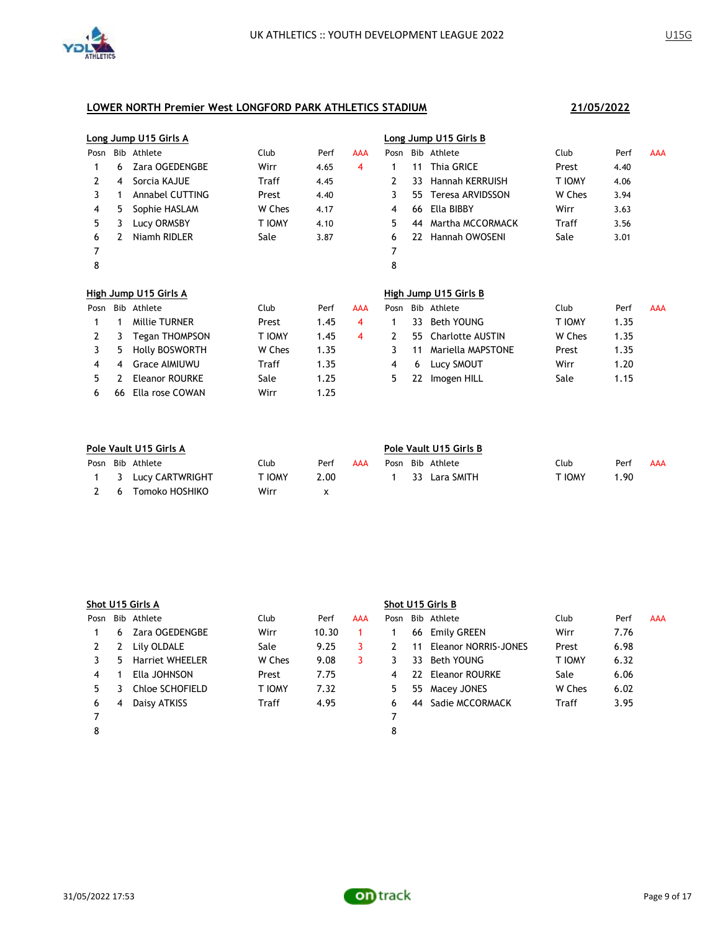

|      | Long Jump U15 Girls A |                        |        |      |            | Long Jump U15 Girls B |     |                         |        |      |            |
|------|-----------------------|------------------------|--------|------|------------|-----------------------|-----|-------------------------|--------|------|------------|
| Posn |                       | Bib Athlete            | Club   | Perf | <b>AAA</b> | Posn                  |     | Bib Athlete             | Club   | Perf | <b>AAA</b> |
|      | 6                     | Zara OGEDENGBE         | Wirr   | 4.65 | 4          | 1                     | 11  | <b>Thia GRICE</b>       | Prest  | 4.40 |            |
| 2    | 4                     | Sorcia KAJUE           | Traff  | 4.45 |            | 2                     | 33  | <b>Hannah KERRUISH</b>  | T IOMY | 4.06 |            |
| 3    |                       | <b>Annabel CUTTING</b> | Prest  | 4.40 |            | 3                     | 55  | <b>Teresa ARVIDSSON</b> | W Ches | 3.94 |            |
| 4    | 5                     | Sophie HASLAM          | W Ches | 4.17 |            | 4                     | 66  | Ella BIBBY              | Wirr   | 3.63 |            |
| 5    | 3                     | Lucy ORMSBY            | T IOMY | 4.10 |            | 5                     | 44  | Martha MCCORMACK        | Traff  | 3.56 |            |
| 6    |                       | Niamh RIDLER           | Sale   | 3.87 |            | 6                     | 22  | <b>Hannah OWOSENI</b>   | Sale   | 3.01 |            |
| 7    |                       |                        |        |      |            | 7                     |     |                         |        |      |            |
| 8    |                       |                        |        |      |            | 8                     |     |                         |        |      |            |
|      |                       |                        |        |      |            |                       |     |                         |        |      |            |
|      |                       | High Jump U15 Girls A  |        |      |            |                       |     | High Jump U15 Girls B   |        |      |            |
| Posn | Bib                   | Athlete                | Club   | Perf | <b>AAA</b> | Posn                  |     | Bib Athlete             | Club   | Perf | <b>AAA</b> |
|      | 1                     | <b>Millie TURNER</b>   | Prest  | 1.45 | 4          | 1                     | 33. | <b>Beth YOUNG</b>       | T IOMY | 1.35 |            |
| 2    | 3                     | Tegan THOMPSON         | T IOMY | 1.45 | 4          | 2                     | 55  | <b>Charlotte AUSTIN</b> | W Ches | 1.35 |            |
| 3    | 5                     | <b>Holly BOSWORTH</b>  | W Ches | 1.35 |            | 3                     | 11  | Mariella MAPSTONE       | Prest  | 1.35 |            |
| 4    | 4                     | <b>Grace AIMIUWU</b>   | Traff  | 1.35 |            | 4                     | 6   | Lucy SMOUT              | Wirr   | 1.20 |            |
| 5.   |                       | <b>Eleanor ROURKE</b>  | Sale   | 1.25 |            | 5                     | 22  | Imogen HILL             | Sale   | 1.15 |            |
| 6    | 66                    | Ella rose COWAN        | Wirr   | 1.25 |            |                       |     |                         |        |      |            |

| Pole Vault U15 Girls A |                     |        |      |     |  | Pole Vault U15 Girls B |                  |        |      |     |  |  |  |
|------------------------|---------------------|--------|------|-----|--|------------------------|------------------|--------|------|-----|--|--|--|
|                        | Posn Bib Athlete    | Club   | Perf | AAA |  |                        | Posn Bib Athlete | Club   | Perf | AAA |  |  |  |
|                        | 1 3 Lucy CARTWRIGHT | . IOWA | 2.00 |     |  |                        | 33 Lara SMITH    | T IOMY | 1.90 |     |  |  |  |
| - 6                    | Tomoko HOSHIKO      | Wirr   |      |     |  |                        |                  |        |      |     |  |  |  |

|      | Shot U15 Girls A |                        |               |       |     |      | Shot U15 Girls B |                      |               |      |     |  |  |
|------|------------------|------------------------|---------------|-------|-----|------|------------------|----------------------|---------------|------|-----|--|--|
| Posn |                  | Bib Athlete            | Club          | Perf  | AAA | Posn |                  | Bib Athlete          | Club          | Perf | AAA |  |  |
|      | 6                | Zara OGEDENGBE         | Wirr          | 10.30 |     |      | 66               | Emily GREEN          | Wirr          | 7.76 |     |  |  |
|      | 2                | Lily OLDALE            | Sale          | 9.25  | 3   |      | 11               | Eleanor NORRIS-JONES | Prest         | 6.98 |     |  |  |
|      | 5                | <b>Harriet WHEELER</b> | W Ches        | 9.08  | 3   |      | 33               | Beth YOUNG           | <b>T IOMY</b> | 6.32 |     |  |  |
| 4    |                  | Ella JOHNSON           | Prest         | 7.75  |     | 4    |                  | 22 Eleanor ROURKE    | Sale          | 6.06 |     |  |  |
| 5.   |                  | Chloe SCHOFIELD        | <b>T IOMY</b> | 7.32  |     | 5    | 55               | Macey JONES          | W Ches        | 6.02 |     |  |  |
| 6    | 4                | Daisy ATKISS           | Traff         | 4.95  |     | 6    | 44               | Sadie MCCORMACK      | Traff         | 3.95 |     |  |  |
|      |                  |                        |               |       |     |      |                  |                      |               |      |     |  |  |
| 8    |                  |                        |               |       |     | 8    |                  |                      |               |      |     |  |  |

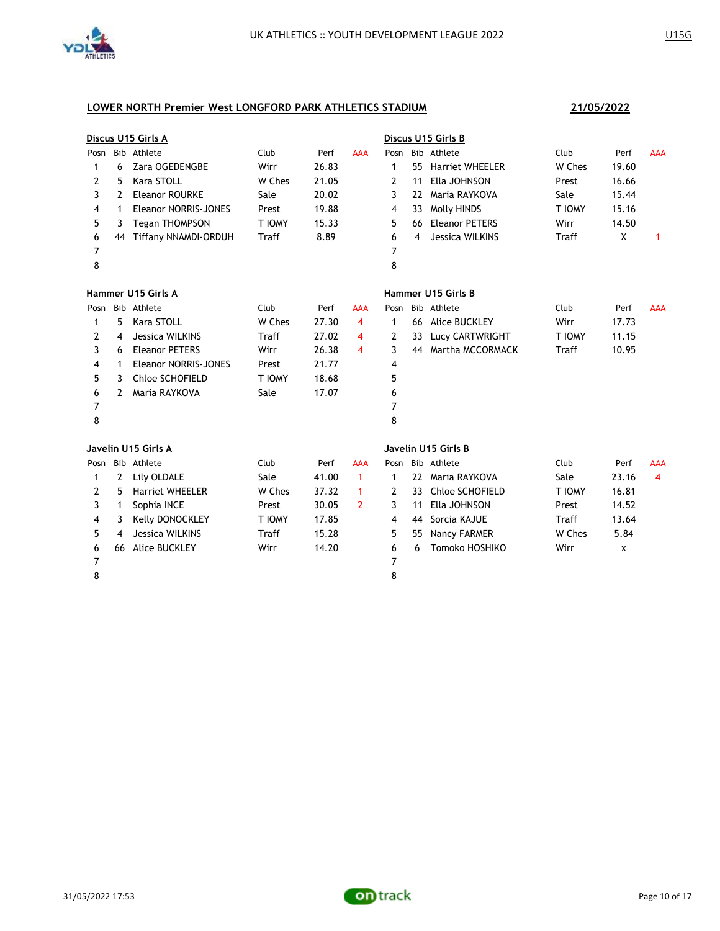

|      |    | Discus U15 Girls A          |        |       |               |      |    | Discus U15 Girls B     |        |       |            |
|------|----|-----------------------------|--------|-------|---------------|------|----|------------------------|--------|-------|------------|
| Posn |    | Bib Athlete                 | Club   | Perf  | <b>AAA</b>    | Posn |    | Bib Athlete            | Club   | Perf  | <b>AAA</b> |
| 1    | 6  | Zara OGEDENGBE              | Wirr   | 26.83 |               | 1    | 55 | <b>Harriet WHEELER</b> | W Ches | 19.60 |            |
| 2    | 5  | Kara STOLL                  | W Ches | 21.05 |               | 2    | 11 | Ella JOHNSON           | Prest  | 16.66 |            |
| 3    | 2  | <b>Eleanor ROURKE</b>       | Sale   | 20.02 |               | 3    | 22 | Maria RAYKOVA          | Sale   | 15.44 |            |
| 4    | 1  | <b>Eleanor NORRIS-JONES</b> | Prest  | 19.88 |               | 4    | 33 | <b>Molly HINDS</b>     | T IOMY | 15.16 |            |
| 5    | 3  | <b>Tegan THOMPSON</b>       | T IOMY | 15.33 |               | 5    | 66 | <b>Eleanor PETERS</b>  | Wirr   | 14.50 |            |
| 6    | 44 | <b>Tiffany NNAMDI-ORDUH</b> | Traff  | 8.89  |               | 6    | 4  | Jessica WILKINS        | Traff  | X     | 1          |
| 7    |    |                             |        |       |               | 7    |    |                        |        |       |            |
| 8    |    |                             |        |       |               | 8    |    |                        |        |       |            |
|      |    | Hammer U15 Girls A          |        |       |               |      |    | Hammer U15 Girls B     |        |       |            |
| Posn |    | Bib Athlete                 | Club   | Perf  | <b>AAA</b>    | Posn |    | Bib Athlete            | Club   | Perf  | AAA        |
| 1    | 5  | Kara STOLL                  | W Ches | 27.30 | 4             | 1    | 66 | <b>Alice BUCKLEY</b>   | Wirr   | 17.73 |            |
| 2    | 4  | Jessica WILKINS             | Traff  | 27.02 | 4             | 2    | 33 | Lucy CARTWRIGHT        | T IOMY | 11.15 |            |
| 3    | 6  | <b>Eleanor PETERS</b>       | Wirr   | 26.38 | 4             | 3    | 44 | Martha MCCORMACK       | Traff  | 10.95 |            |
| 4    | 1  | <b>Eleanor NORRIS-JONES</b> | Prest  | 21.77 |               | 4    |    |                        |        |       |            |
| 5    | 3  | Chloe SCHOFIELD             | T IOMY | 18.68 |               | 5    |    |                        |        |       |            |
| 6    | 2  | Maria RAYKOVA               | Sale   | 17.07 |               | 6    |    |                        |        |       |            |
| 7    |    |                             |        |       |               | 7    |    |                        |        |       |            |
| 8    |    |                             |        |       |               | 8    |    |                        |        |       |            |
|      |    | Javelin U15 Girls A         |        |       |               |      |    | Javelin U15 Girls B    |        |       |            |
| Posn |    | Bib Athlete                 | Club   | Perf  | <b>AAA</b>    |      |    | Posn Bib Athlete       | Club   | Perf  | <b>AAA</b> |
| 1    | 2  | Lily OLDALE                 | Sale   | 41.00 | 1             | 1    |    | 22 Maria RAYKOVA       | Sale   | 23.16 | 4          |
| 2    | 5  | <b>Harriet WHEELER</b>      | W Ches | 37.32 | 1             | 2    | 33 | Chloe SCHOFIELD        | T IOMY | 16.81 |            |
| 3    | 1  | Sophia INCE                 | Prest  | 30.05 | $\mathcal{P}$ | 3    | 11 | Ella JOHNSON           | Prest  | 14.52 |            |
| 4    | 3  | Kelly DONOCKLEY             | T IOMY | 17.85 |               | 4    | 44 | Sorcia KAJUE           | Traff  | 13.64 |            |
| 5    | 4  | Jessica WILKINS             | Traff  | 15.28 |               | 5    | 55 | Nancy FARMER           | W Ches | 5.84  |            |
| 6    | 66 | <b>Alice BUCKLEY</b>        | Wirr   | 14.20 |               | 6    | 6  | Tomoko HOSHIKO         | Wirr   | X     |            |
| 7    |    |                             |        |       |               | 7    |    |                        |        |       |            |
| 8    |    |                             |        |       |               | 8    |    |                        |        |       |            |
|      |    |                             |        |       |               |      |    |                        |        |       |            |

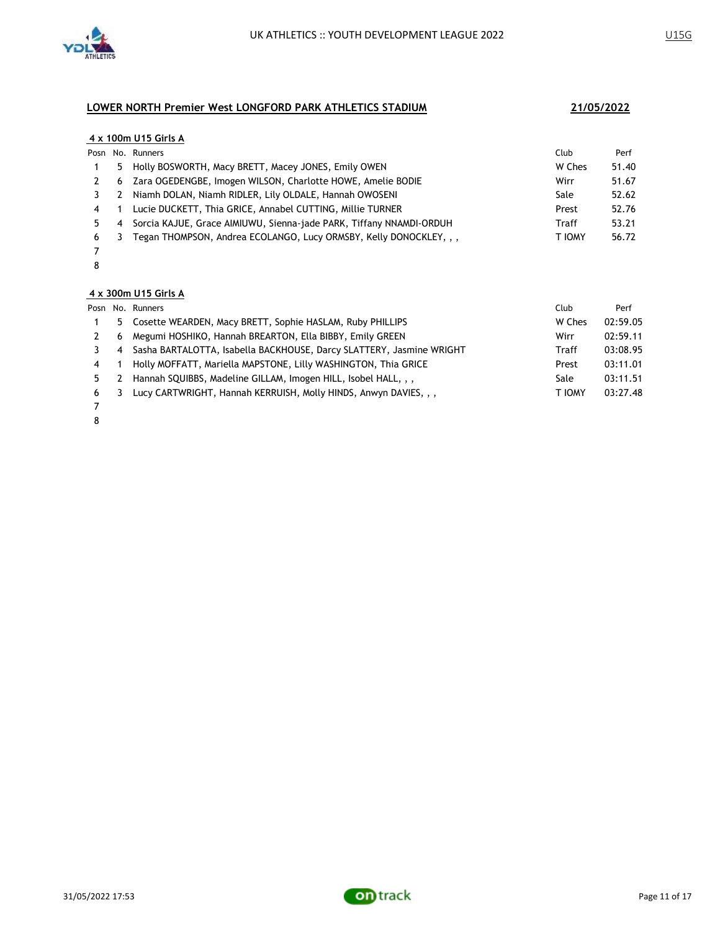

### **4 x 100m U15 Girls A**

|   |   | Posn No. Runners                                                    | Club   | Perf  |
|---|---|---------------------------------------------------------------------|--------|-------|
|   |   | 5 Holly BOSWORTH, Macy BRETT, Macey JONES, Emily OWEN               | W Ches | 51.40 |
|   |   | 6 Zara OGEDENGBE, Imogen WILSON, Charlotte HOWE, Amelie BODIE       | Wirr   | 51.67 |
|   | 2 | Niamh DOLAN, Niamh RIDLER, Lily OLDALE, Hannah OWOSENI              | Sale   | 52.62 |
| 4 |   | Lucie DUCKETT, Thia GRICE, Annabel CUTTING, Millie TURNER           | Prest  | 52.76 |
|   | 4 | Sorcia KAJUE, Grace AIMIUWU, Sienna-jade PARK, Tiffany NNAMDI-ORDUH | Traff  | 53.21 |
| 6 | 3 | Tegan THOMPSON, Andrea ECOLANGO, Lucy ORMSBY, Kelly DONOCKLEY, , ,  | T IOMY | 56.72 |
|   |   |                                                                     |        |       |

 

### **4 x 300m U15 Girls A**

|   |    | Posn No. Runners                                                     | Club   | Perf     |
|---|----|----------------------------------------------------------------------|--------|----------|
|   | 5. | Cosette WEARDEN, Macy BRETT, Sophie HASLAM, Ruby PHILLIPS            | W Ches | 02:59.05 |
|   | 6  | Megumi HOSHIKO, Hannah BREARTON, Ella BIBBY, Emily GREEN             | Wirr   | 02:59.11 |
|   | 4  | Sasha BARTALOTTA, Isabella BACKHOUSE, Darcy SLATTERY, Jasmine WRIGHT | Traff  | 03:08.95 |
| 4 |    | Holly MOFFATT, Mariella MAPSTONE, Lilly WASHINGTON, Thia GRICE       | Prest  | 03:11.01 |
|   |    | Hannah SQUIBBS, Madeline GILLAM, Imogen HILL, Isobel HALL, , ,       | Sale   | 03:11.51 |
| 6 | 3  | Lucy CARTWRIGHT, Hannah KERRUISH, Molly HINDS, Anwyn DAVIES, , ,     | T IOMY | 03:27.48 |
|   |    |                                                                      |        |          |

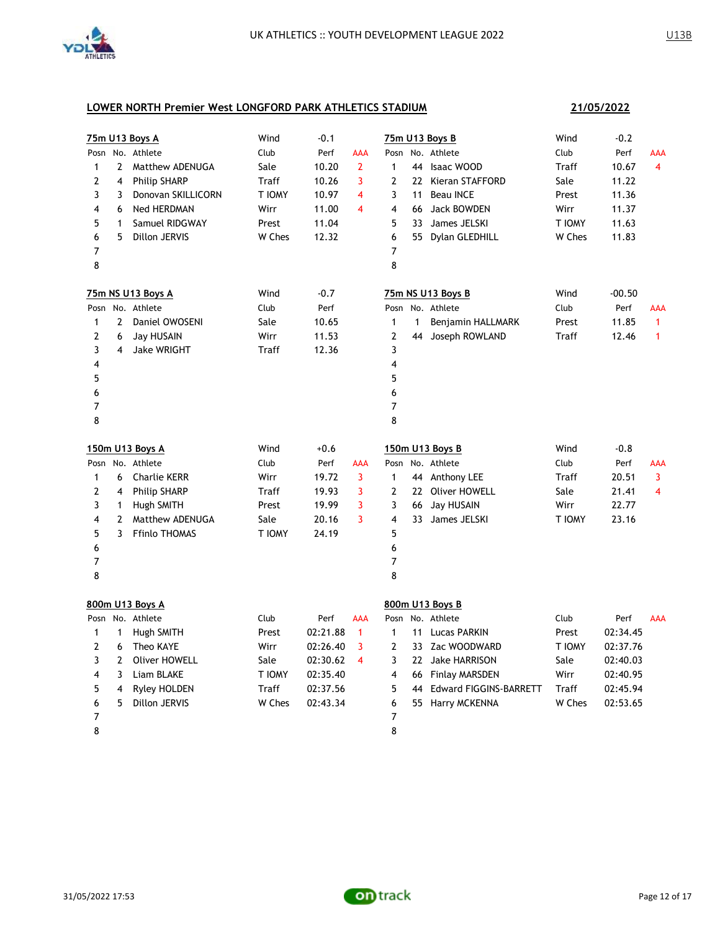

| 21/05/2022 |
|------------|
|------------|

|                |                         | 75m U13 Boys A       | Wind   | $-0.1$   |                |                |              | 75m U13 Boys B            | Wind   | $-0.2$   |                |
|----------------|-------------------------|----------------------|--------|----------|----------------|----------------|--------------|---------------------------|--------|----------|----------------|
| Posn           |                         | No. Athlete          | Club   | Perf     | AAA            | Posn           |              | No. Athlete               | Club   | Perf     | AAA            |
| $\mathbf{1}$   | $\mathbf{2}$            | Matthew ADENUGA      | Sale   | 10.20    | $\overline{2}$ | $\mathbf{1}$   |              | 44 Isaac WOOD             | Traff  | 10.67    | $\overline{4}$ |
| 2              | 4                       | <b>Philip SHARP</b>  | Traff  | 10.26    | 3              | 2              |              | 22 Kieran STAFFORD        | Sale   | 11.22    |                |
| 3              | 3                       | Donovan SKILLICORN   | T IOMY | 10.97    | $\overline{4}$ | 3              | 11           | <b>Beau INCE</b>          | Prest  | 11.36    |                |
| 4              | 6                       | <b>Ned HERDMAN</b>   | Wirr   | 11.00    | 4              | 4              |              | 66 Jack BOWDEN            | Wirr   | 11.37    |                |
| 5              | 1                       | Samuel RIDGWAY       | Prest  | 11.04    |                | 5              | 33           | James JELSKI              | T IOMY | 11.63    |                |
| 6              | 5                       | Dillon JERVIS        | W Ches | 12.32    |                | 6              |              | 55 Dylan GLEDHILL         | W Ches | 11.83    |                |
| $\overline{7}$ |                         |                      |        |          |                | 7              |              |                           |        |          |                |
| 8              |                         |                      |        |          |                | 8              |              |                           |        |          |                |
|                |                         | 75m NS U13 Boys A    | Wind   | $-0.7$   |                |                |              | 75m NS U13 Boys B         | Wind   | $-00.50$ |                |
|                |                         | Posn No. Athlete     | Club   | Perf     |                |                |              | Posn No. Athlete          | Club   | Perf     | AAA            |
| $\mathbf{1}$   | $\mathbf{2}$            | Daniel OWOSENI       | Sale   | 10.65    |                | $\mathbf{1}$   | $\mathbf{1}$ | Benjamin HALLMARK         | Prest  | 11.85    | $\mathbf{1}$   |
| 2              | 6                       | <b>Jay HUSAIN</b>    | Wirr   | 11.53    |                | $\overline{2}$ | 44           | Joseph ROWLAND            | Traff  | 12.46    | $\mathbf{1}$   |
| 3              | $\overline{\mathbf{4}}$ | <b>Jake WRIGHT</b>   | Traff  | 12.36    |                | 3              |              |                           |        |          |                |
| 4              |                         |                      |        |          |                | 4              |              |                           |        |          |                |
| 5              |                         |                      |        |          |                | 5              |              |                           |        |          |                |
| 6              |                         |                      |        |          |                | 6              |              |                           |        |          |                |
| 7              |                         |                      |        |          |                | 7              |              |                           |        |          |                |
| 8              |                         |                      |        |          |                | 8              |              |                           |        |          |                |
|                |                         |                      |        |          |                |                |              |                           |        |          |                |
|                |                         | 150m U13 Boys A      | Wind   | $+0.6$   |                |                |              | 150m U13 Boys B           | Wind   | $-0.8$   |                |
|                |                         | Posn No. Athlete     | Club   | Perf     | AAA            |                |              | Posn No. Athlete          | Club   | Perf     | <b>AAA</b>     |
| $\mathbf{1}$   | 6                       | <b>Charlie KERR</b>  | Wirr   | 19.72    | 3              | $\mathbf{1}$   |              | 44 Anthony LEE            | Traff  | 20.51    | 3              |
| 2              | 4                       | <b>Philip SHARP</b>  | Traff  | 19.93    | 3              | 2              |              | 22 Oliver HOWELL          | Sale   | 21.41    | 4              |
| 3              | $\mathbf{1}$            | <b>Hugh SMITH</b>    | Prest  | 19.99    | 3              | 3              | 66           | Jay HUSAIN                | Wirr   | 22.77    |                |
| 4              | $\overline{2}$          | Matthew ADENUGA      | Sale   | 20.16    | 3              | 4              | 33           | James JELSKI              | T IOMY | 23.16    |                |
| 5              | 3                       | <b>Ffinlo THOMAS</b> | T IOMY | 24.19    |                | 5              |              |                           |        |          |                |
| 6              |                         |                      |        |          |                | 6              |              |                           |        |          |                |
| 7              |                         |                      |        |          |                | $\overline{7}$ |              |                           |        |          |                |
| 8              |                         |                      |        |          |                | 8              |              |                           |        |          |                |
|                |                         | 800m U13 Boys A      |        |          |                |                |              | 800m U13 Boys B           |        |          |                |
|                |                         | Posn No. Athlete     | Club   | Perf     | AAA            | Posn           |              | No. Athlete               | Club   | Perf     | <b>AAA</b>     |
| 1              | $\mathbf{1}$            | Hugh SMITH           | Prest  | 02:21.88 | $\mathbf{1}$   | $\mathbf{1}$   |              | 11 Lucas PARKIN           | Prest  | 02:34.45 |                |
| 2              | 6                       | Theo KAYE            | Wirr   | 02:26.40 | 3              | 2              |              | 33 Zac WOODWARD           | T IOMY | 02:37.76 |                |
| 3              | $\mathbf{2}$            | <b>Oliver HOWELL</b> | Sale   | 02:30.62 | 4              | 3              |              | 22 Jake HARRISON          | Sale   | 02:40.03 |                |
| 4              | 3                       | Liam BLAKE           | T IOMY | 02:35.40 |                | 4              |              | 66 Finlay MARSDEN         | Wirr   | 02:40.95 |                |
| 5              | 4                       | Ryley HOLDEN         | Traff  | 02:37.56 |                | 5              |              | 44 Edward FIGGINS-BARRETT | Traff  | 02:45.94 |                |
| 6              | 5                       | Dillon JERVIS        | W Ches | 02:43.34 |                | 6              |              | 55 Harry MCKENNA          | W Ches | 02:53.65 |                |
| 7              |                         |                      |        |          |                | 7              |              |                           |        |          |                |

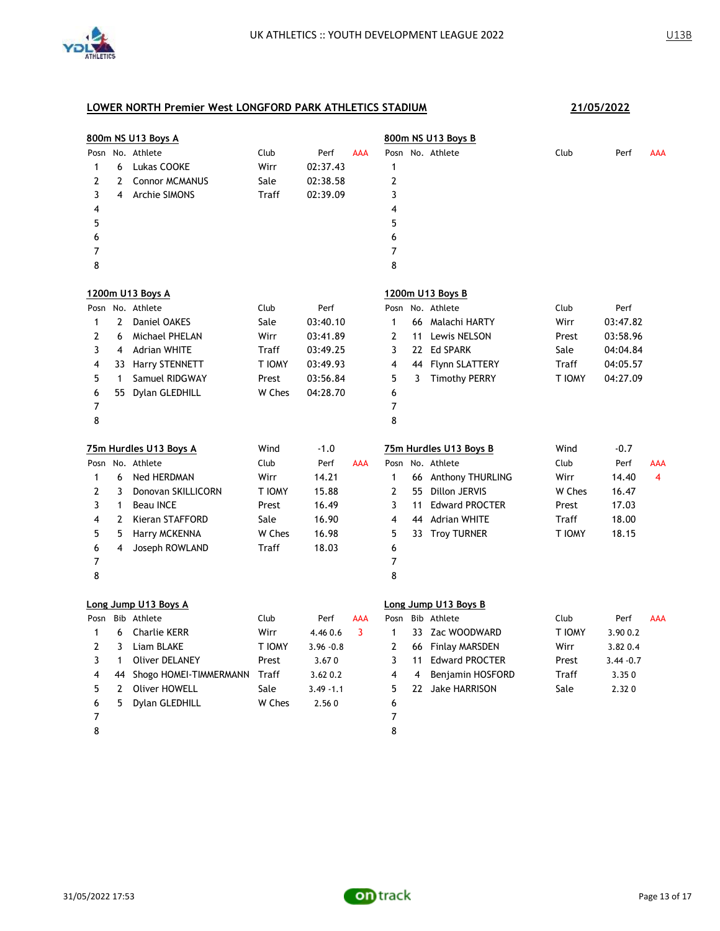

|                |                | 800m NS U13 Boys A        |        |              |            |                         |    | 800m NS U13 Boys B     |        |              |            |
|----------------|----------------|---------------------------|--------|--------------|------------|-------------------------|----|------------------------|--------|--------------|------------|
| Posn           |                | No. Athlete               | Club   | Perf         | <b>AAA</b> |                         |    | Posn No. Athlete       | Club   | Perf         | <b>AAA</b> |
| $\mathbf{1}$   | 6              | Lukas COOKE               | Wirr   | 02:37.43     |            | 1                       |    |                        |        |              |            |
| $\overline{2}$ | 2              | <b>Connor MCMANUS</b>     | Sale   | 02:38.58     |            | $\overline{2}$          |    |                        |        |              |            |
| 3              | 4              | <b>Archie SIMONS</b>      | Traff  | 02:39.09     |            | 3                       |    |                        |        |              |            |
| 4              |                |                           |        |              |            | 4                       |    |                        |        |              |            |
| 5              |                |                           |        |              |            | 5                       |    |                        |        |              |            |
| 6              |                |                           |        |              |            | 6                       |    |                        |        |              |            |
| $\overline{7}$ |                |                           |        |              |            | $\overline{7}$          |    |                        |        |              |            |
| 8              |                |                           |        |              |            | 8                       |    |                        |        |              |            |
|                |                | 1200m U13 Boys A          |        |              |            |                         |    | 1200m U13 Boys B       |        |              |            |
|                |                | Posn No. Athlete          | Club   | Perf         |            | Posn                    |    | No. Athlete            | Club   | Perf         |            |
| $\mathbf{1}$   | $\mathbf{2}$   | Daniel OAKES              | Sale   | 03:40.10     |            | $\mathbf{1}$            |    | 66 Malachi HARTY       | Wirr   | 03:47.82     |            |
| 2              | 6              | Michael PHELAN            | Wirr   | 03:41.89     |            | $\overline{2}$          |    | 11 Lewis NELSON        | Prest  | 03:58.96     |            |
| 3              | $\overline{4}$ | <b>Adrian WHITE</b>       | Traff  | 03:49.25     |            | 3                       |    | 22 Ed SPARK            | Sale   | 04:04.84     |            |
| 4              |                | 33 Harry STENNETT         | T IOMY | 03:49.93     |            | $\overline{4}$          |    | 44 Flynn SLATTERY      | Traff  | 04:05.57     |            |
| 5              | $\mathbf{1}$   | Samuel RIDGWAY            | Prest  | 03:56.84     |            | 5                       | 3  | <b>Timothy PERRY</b>   | T IOMY | 04:27.09     |            |
| 6              |                | 55 Dylan GLEDHILL         | W Ches | 04:28.70     |            | 6                       |    |                        |        |              |            |
| 7              |                |                           |        |              |            | 7                       |    |                        |        |              |            |
| 8              |                |                           |        |              |            | 8                       |    |                        |        |              |            |
|                |                | 75m Hurdles U13 Boys A    | Wind   | $-1.0$       |            |                         |    | 75m Hurdles U13 Boys B | Wind   | $-0.7$       |            |
|                |                | Posn No. Athlete          | Club   | Perf         | <b>AAA</b> |                         |    | Posn No. Athlete       | Club   | Perf         | <b>AAA</b> |
| 1              |                |                           | Wirr   |              |            |                         |    |                        |        |              | 4          |
|                | 6              | Ned HERDMAN               |        | 14.21        |            | $\mathbf{1}$            |    | 66 Anthony THURLING    | Wirr   | 14.40        |            |
| $\overline{2}$ | 3              | Donovan SKILLICORN        | T IOMY | 15.88        |            | $\overline{2}$          |    | 55 Dillon JERVIS       | W Ches | 16.47        |            |
| 3              | 1              | <b>Beau INCE</b>          | Prest  | 16.49        |            | 3                       |    | 11 Edward PROCTER      | Prest  | 17.03        |            |
| 4              | $\mathbf{2}$   | Kieran STAFFORD           | Sale   | 16.90        |            | $\overline{4}$          |    | 44 Adrian WHITE        | Traff  | 18.00        |            |
| 5              | 5              | Harry MCKENNA             | W Ches | 16.98        |            | 5                       |    | 33 Troy TURNER         | T IOMY | 18.15        |            |
| 6              | 4              | Joseph ROWLAND            | Traff  | 18.03        |            | 6                       |    |                        |        |              |            |
| $\overline{7}$ |                |                           |        |              |            | $\overline{7}$          |    |                        |        |              |            |
| 8              |                |                           |        |              |            | 8                       |    |                        |        |              |            |
|                |                | Long Jump U13 Boys A      |        |              |            |                         |    | Long Jump U13 Boys B   |        |              |            |
| Posn           |                | Bib Athlete               | Club   | Perf         | AAA        | Posn                    |    | Bib Athlete            | Club   | Perf         | <b>AAA</b> |
| 1              | 6              | <b>Charlie KERR</b>       | Wirr   | 4.46 0.6     | 3          | $\mathbf{1}$            |    | 33 Zac WOODWARD        | T IOMY | 3.90 0.2     |            |
| $\mathbf{2}$   | 3              | Liam BLAKE                | T IOMY | $3.96 - 0.8$ |            | $\overline{2}$          |    | 66 Finlay MARSDEN      | Wirr   | 3.82 0.4     |            |
| 3              | $\mathbf{1}$   | <b>Oliver DELANEY</b>     | Prest  | 3.670        |            | 3                       | 11 | <b>Edward PROCTER</b>  | Prest  | $3.44 - 0.7$ |            |
| 4              |                | 44 Shogo HOMEI-TIMMERMANN | Traff  | 3.62 0.2     |            | $\overline{\mathbf{4}}$ | 4  | Benjamin HOSFORD       | Traff  | 3.350        |            |
| 5              | $\mathbf{2}$   | Oliver HOWELL             | Sale   | $3.49 - 1.1$ |            | 5                       |    | 22 Jake HARRISON       | Sale   | 2.320        |            |
| 6              | 5              | Dylan GLEDHILL            | W Ches | 2.560        |            | 6                       |    |                        |        |              |            |
| 7              |                |                           |        |              |            | 7                       |    |                        |        |              |            |

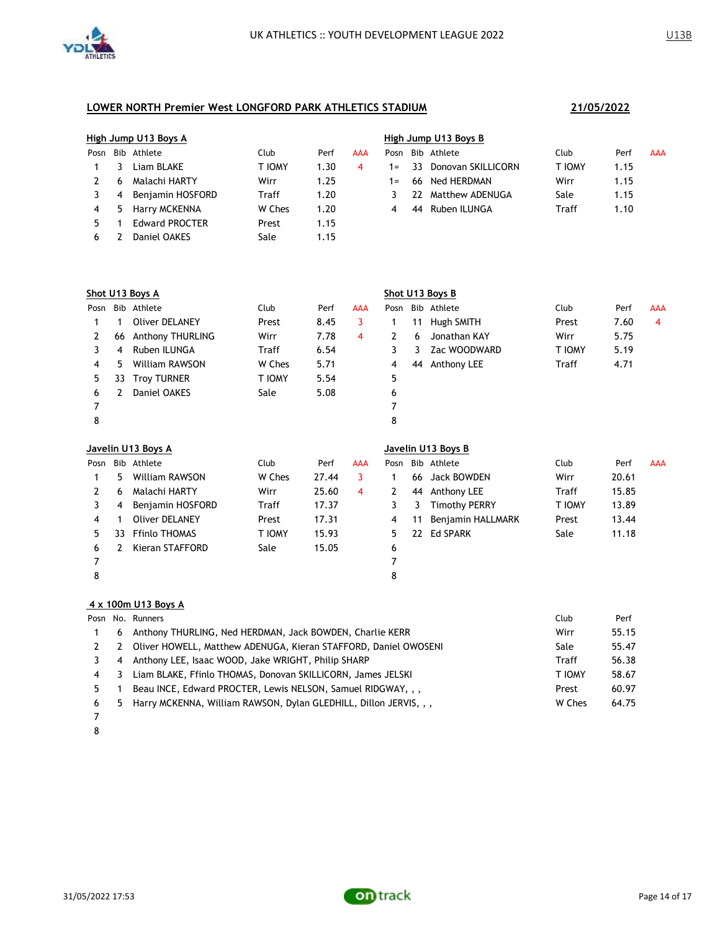

|      |   | High Jump U13 Boys A  |        |      |            | High Jump U13 Boys B |          |                    |        |      |            |  |  |
|------|---|-----------------------|--------|------|------------|----------------------|----------|--------------------|--------|------|------------|--|--|
| Posn |   | Bib Athlete           | Club   | Perf | <b>AAA</b> | Posn                 |          | Bib Athlete        | Club   | Perf | <b>AAA</b> |  |  |
|      |   | Liam BLAKE            | T IOMY | 1.30 | 4          |                      | $1 = 33$ | Donovan SKILLICORN | T IOMY | 1.15 |            |  |  |
|      | 6 | Malachi HARTY         | Wirr   | 1.25 |            | $1 =$                |          | 66 Ned HERDMAN     | Wirr   | 1.15 |            |  |  |
|      | 4 | Benjamin HOSFORD      | Traff  | 1.20 |            |                      | 22.      | Matthew ADENUGA    | Sale   | 1.15 |            |  |  |
| 4    |   | 5 Harry MCKENNA       | W Ches | 1.20 |            | 4                    | 44       | Ruben ILUNGA       | Traff  | 1.10 |            |  |  |
|      |   | <b>Edward PROCTER</b> | Prest  | 1.15 |            |                      |          |                    |        |      |            |  |  |
| 6    |   | Daniel OAKES          | Sale   | 1.15 |            |                      |          |                    |        |      |            |  |  |

|      | Shot U13 Boys A |                         |              |      |     | Shot U13 Boys B |    |                    |               |      |                |  |  |
|------|-----------------|-------------------------|--------------|------|-----|-----------------|----|--------------------|---------------|------|----------------|--|--|
| Posn |                 | Bib Athlete             | Club         | Perf | AAA | Posn            |    | Bib Athlete        | Club          | Perf | <b>AAA</b>     |  |  |
|      |                 | Oliver DELANEY          | Prest        | 8.45 | 3   |                 | 11 | Hugh SMITH         | Prest         | 7.60 | $\overline{4}$ |  |  |
| 2    | 66              | <b>Anthony THURLING</b> | Wirr         | 7.78 | 4   | 2               | 6  | Jonathan KAY       | Wirr          | 5.75 |                |  |  |
| 3    | 4               | Ruben ILUNGA            | <b>Traff</b> | 6.54 |     | 3               | 3  | Zac WOODWARD       | <b>T IOMY</b> | 5.19 |                |  |  |
| 4    | 5               | William RAWSON          | W Ches       | 5.71 |     | 4               | 44 | Anthony LEE        | Traff         | 4.71 |                |  |  |
| 5    | 33              | <b>Troy TURNER</b>      | T IOMY       | 5.54 |     | 5               |    |                    |               |      |                |  |  |
| 6    | 2               | Daniel OAKES            | Sale         | 5.08 |     | 6               |    |                    |               |      |                |  |  |
| 7    |                 |                         |              |      |     |                 |    |                    |               |      |                |  |  |
| 8    |                 |                         |              |      |     | 8               |    |                    |               |      |                |  |  |
|      |                 | Javelin U13 Boys A      |              |      |     |                 |    | Javelin U13 Boys B |               |      |                |  |  |

| Posn |    | Bib Athlete           | Club   | Perf  | AAA | Posn |    | Bib Athlete          | Club   | Perf  | <b>AAA</b> |
|------|----|-----------------------|--------|-------|-----|------|----|----------------------|--------|-------|------------|
|      | 5  | William RAWSON        | W Ches | 27.44 |     |      | 66 | Jack BOWDEN          | Wirr   | 20.61 |            |
|      | 6  | Malachi HARTY         | Wirr   | 25.60 | 4   |      | 44 | Anthony LEE          | Traff  | 15.85 |            |
|      | 4  | Benjamin HOSFORD      | Traff  | 17.37 |     |      |    | <b>Timothy PERRY</b> | T IOMY | 13.89 |            |
| 4    |    | <b>Oliver DELANEY</b> | Prest  | 17.31 |     | 4    | 11 | Benjamin HALLMARK    | Prest  | 13.44 |            |
| 5.   | 33 | <b>Ffinlo THOMAS</b>  | T IOMY | 15.93 |     | 5.   |    | 22 Ed SPARK          | Sale   | 11.18 |            |
| 6    |    | Kieran STAFFORD       | Sale   | 15.05 |     | 6    |    |                      |        |       |            |
|      |    |                       |        |       |     |      |    |                      |        |       |            |
| 8    |    |                       |        |       |     | 8    |    |                      |        |       |            |

### **4 x 100m U13 Boys A**

|   |    | Posn No. Runners                                                    | Club   | Perf  |
|---|----|---------------------------------------------------------------------|--------|-------|
|   | 6  | Anthony THURLING, Ned HERDMAN, Jack BOWDEN, Charlie KERR            | Wirr   | 55.15 |
|   | 2  | Oliver HOWELL, Matthew ADENUGA, Kieran STAFFORD, Daniel OWOSENI     | Sale   | 55.47 |
|   | -4 | Anthony LEE, Isaac WOOD, Jake WRIGHT, Philip SHARP                  | Traff  | 56.38 |
| 4 | -3 | Liam BLAKE, Ffinlo THOMAS, Donovan SKILLICORN, James JELSKI         | T IOMY | 58.67 |
|   |    | Beau INCE, Edward PROCTER, Lewis NELSON, Samuel RIDGWAY, , ,        | Prest  | 60.97 |
| 6 |    | 5 Harry MCKENNA, William RAWSON, Dylan GLEDHILL, Dillon JERVIS, , , | W Ches | 64.75 |
|   |    |                                                                     |        |       |

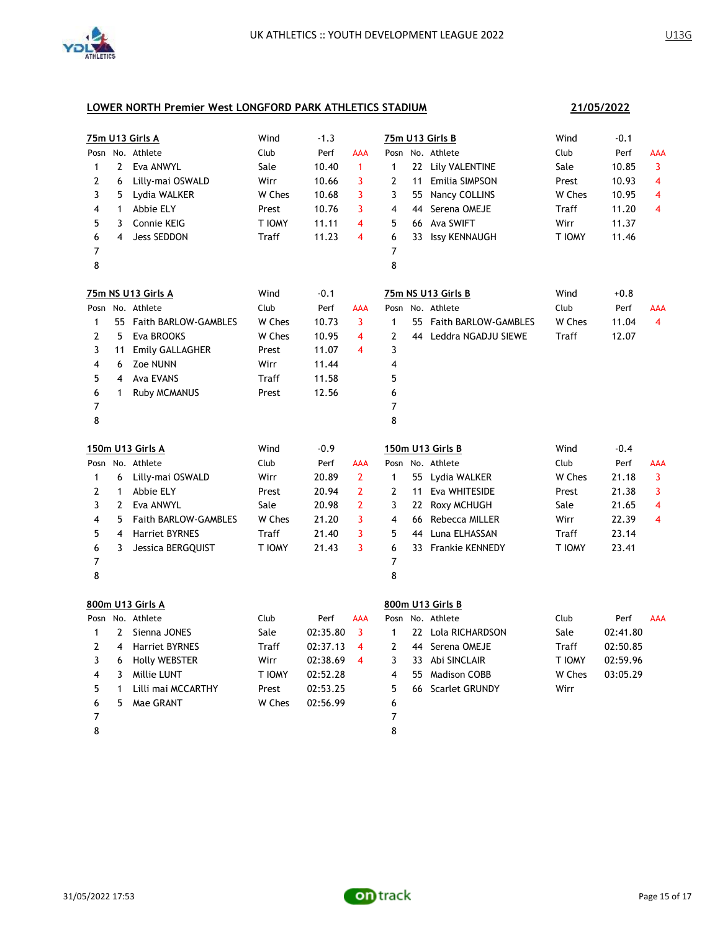

**21/05/2022**

|                |                | 75m U13 Girls A         | Wind   | $-1.3$   |                |                | 75m U13 Girls B         | Wind   | $-0.1$   |            |
|----------------|----------------|-------------------------|--------|----------|----------------|----------------|-------------------------|--------|----------|------------|
|                |                | Posn No. Athlete        | Club   | Perf     | AAA            |                | Posn No. Athlete        | Club   | Perf     | AAA        |
| $\mathbf{1}$   | $\mathbf{2}$   | Eva ANWYL               | Sale   | 10.40    | $\mathbf{1}$   | $\mathbf{1}$   | 22 Lily VALENTINE       | Sale   | 10.85    | 3          |
| 2              | 6              | Lilly-mai OSWALD        | Wirr   | 10.66    | 3              | 2              | 11 Emilia SIMPSON       | Prest  | 10.93    | 4          |
| 3              | 5              | Lydia WALKER            | W Ches | 10.68    | 3              | 3              | 55 Nancy COLLINS        | W Ches | 10.95    | 4          |
| 4              | $\mathbf{1}$   | Abbie ELY               | Prest  | 10.76    | 3              | 4              | 44 Serena OMEJE         | Traff  | 11.20    | 4          |
| 5              | 3              | Connie KEIG             | T IOMY | 11.11    | 4              | 5              | 66 Ava SWIFT            | Wirr   | 11.37    |            |
| 6              | 4              | Jess SEDDON             | Traff  | 11.23    | 4              | 6              | 33 Issy KENNAUGH        | T IOMY | 11.46    |            |
| 7              |                |                         |        |          |                | 7              |                         |        |          |            |
| 8              |                |                         |        |          |                | 8              |                         |        |          |            |
|                |                | 75m NS U13 Girls A      | Wind   | $-0.1$   |                |                | 75m NS U13 Girls B      | Wind   | $+0.8$   |            |
| Posn           |                | No. Athlete             | Club   | Perf     | AAA            |                | Posn No. Athlete        | Club   | Perf     | AAA        |
| $\mathbf{1}$   |                | 55 Faith BARLOW-GAMBLES | W Ches | 10.73    | 3              | $\mathbf{1}$   | 55 Faith BARLOW-GAMBLES | W Ches | 11.04    | 4          |
| $\overline{2}$ | 5              | Eva BROOKS              | W Ches | 10.95    | 4              | $\overline{2}$ | 44 Leddra NGADJU SIEWE  | Traff  | 12.07    |            |
| 3              | 11             | <b>Emily GALLAGHER</b>  | Prest  | 11.07    | 4              | 3              |                         |        |          |            |
| 4              | 6              | Zoe NUNN                | Wirr   | 11.44    |                | 4              |                         |        |          |            |
| 5              | $\overline{4}$ | Ava EVANS               | Traff  | 11.58    |                | 5              |                         |        |          |            |
| 6              | $\mathbf{1}$   | <b>Ruby MCMANUS</b>     | Prest  | 12.56    |                | 6              |                         |        |          |            |
| 7              |                |                         |        |          |                | 7              |                         |        |          |            |
| 8              |                |                         |        |          |                | 8              |                         |        |          |            |
|                |                | <b>150m U13 Girls A</b> | Wind   | -0.9     |                |                | 150m U13 Girls B        | Wind   | $-0.4$   |            |
|                |                | Posn No. Athlete        | Club   | Perf     | AAA            |                | Posn No. Athlete        | Club   | Perf     | AAA        |
| $\mathbf{1}$   | 6              | Lilly-mai OSWALD        | Wirr   | 20.89    | $\overline{2}$ | $\mathbf{1}$   | 55 Lydia WALKER         | W Ches | 21.18    | 3          |
| 2              | $\mathbf{1}$   | Abbie ELY               | Prest  | 20.94    | $\overline{2}$ | $\overline{2}$ | 11 Eva WHITESIDE        | Prest  | 21.38    | 3          |
| 3              | $\mathbf{2}$   | Eva ANWYL               | Sale   | 20.98    | $\overline{2}$ | 3              | 22 Roxy MCHUGH          | Sale   | 21.65    | 4          |
| 4              | 5              | Faith BARLOW-GAMBLES    | W Ches | 21.20    | 3              | 4              | 66 Rebecca MILLER       | Wirr   | 22.39    | 4          |
| 5              | $\overline{4}$ | <b>Harriet BYRNES</b>   | Traff  | 21.40    | 3              | 5              | 44 Luna ELHASSAN        | Traff  | 23.14    |            |
| 6              | 3              | Jessica BERGQUIST       | T IOMY | 21.43    | 3              | 6              | 33 Frankie KENNEDY      | T IOMY | 23.41    |            |
| 7              |                |                         |        |          |                | 7              |                         |        |          |            |
| 8              |                |                         |        |          |                | 8              |                         |        |          |            |
|                |                | 800m U13 Girls A        |        |          |                |                | 800m U13 Girls B        |        |          |            |
|                |                | Posn No. Athlete        | Club   | Perf     | AAA            |                | Posn No. Athlete        | Club   | Perf     | <b>AAA</b> |
| $\mathbf{1}$   | $\overline{2}$ | Sienna JONES            | Sale   | 02:35.80 | 3              | $\mathbf{1}$   | 22 Lola RICHARDSON      | Sale   | 02:41.80 |            |
| 2              | 4              | Harriet BYRNES          | Traff  | 02:37.13 | 4              | 2              | 44 Serena OMEJE         | Traff  | 02:50.85 |            |
| 3              | 6              | <b>Holly WEBSTER</b>    | Wirr   | 02:38.69 | 4              | 3              | 33 Abi SINCLAIR         | T IOMY | 02:59.96 |            |
| 4              | 3              | Millie LUNT             | T IOMY | 02:52.28 |                | 4              | 55 Madison COBB         | W Ches | 03:05.29 |            |
| 5              | $\mathbf{1}$   | Lilli mai MCCARTHY      | Prest  | 02:53.25 |                | 5              | 66 Scarlet GRUNDY       | Wirr   |          |            |
| 6              | 5              | Mae GRANT               | W Ches | 02:56.99 |                | 6              |                         |        |          |            |
| 7              |                |                         |        |          |                | 7              |                         |        |          |            |
| 8              |                |                         |        |          |                | 8              |                         |        |          |            |

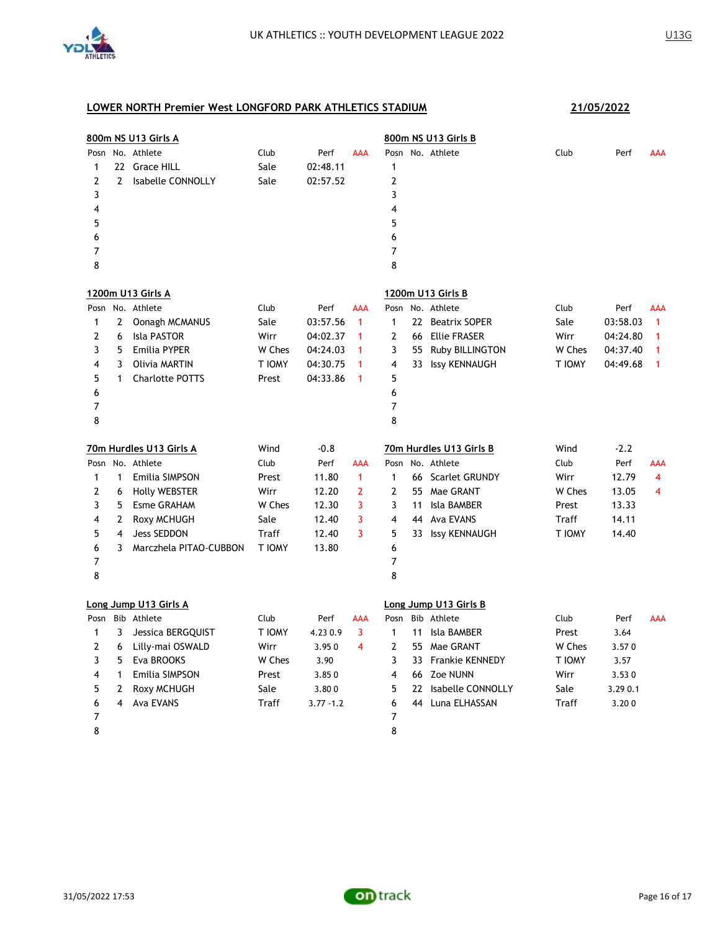

|                |              | 800m NS U13 Girls A     |        |              |                |                         |    | 800m NS U13 Girls B     |        |          |                |
|----------------|--------------|-------------------------|--------|--------------|----------------|-------------------------|----|-------------------------|--------|----------|----------------|
| Posn           |              | No. Athlete             | Club   | Perf         | <b>AAA</b>     |                         |    | Posn No. Athlete        | Club   | Perf     | <b>AAA</b>     |
| 1              |              | 22 Grace HILL           | Sale   | 02:48.11     |                | $\mathbf{1}$            |    |                         |        |          |                |
| $\overline{2}$ | $\mathbf{2}$ | Isabelle CONNOLLY       | Sale   | 02:57.52     |                | $\overline{2}$          |    |                         |        |          |                |
| 3              |              |                         |        |              |                | 3                       |    |                         |        |          |                |
| 4              |              |                         |        |              |                | 4                       |    |                         |        |          |                |
| 5              |              |                         |        |              |                | 5                       |    |                         |        |          |                |
| 6              |              |                         |        |              |                | 6                       |    |                         |        |          |                |
| 7              |              |                         |        |              |                | $\overline{7}$          |    |                         |        |          |                |
| 8              |              |                         |        |              |                | 8                       |    |                         |        |          |                |
|                |              | 1200m U13 Girls A       |        |              |                |                         |    | 1200m U13 Girls B       |        |          |                |
|                |              | Posn No. Athlete        | Club   | Perf         | <b>AAA</b>     | Posn                    |    | No. Athlete             | Club   | Perf     | AAA            |
| 1              | $\mathbf{2}$ | Oonagh MCMANUS          | Sale   | 03:57.56     | $\mathbf{1}$   | $\mathbf{1}$            |    | 22 Beatrix SOPER        | Sale   | 03:58.03 | $\mathbf{1}$   |
| 2              | 6            | <b>Isla PASTOR</b>      | Wirr   | 04:02.37     | 1              | 2                       |    | 66 Ellie FRASER         | Wirr   | 04:24.80 | 1              |
| 3              | 5            | <b>Emilia PYPER</b>     | W Ches | 04:24.03     | 1              | 3                       | 55 | Ruby BILLINGTON         | W Ches | 04:37.40 | 1              |
| 4              | 3            | Olivia MARTIN           | T IOMY | 04:30.75     | 1              | $\overline{4}$          |    | 33 Issy KENNAUGH        | T IOMY | 04:49.68 | $\mathbf{1}$   |
| 5              | 1            | <b>Charlotte POTTS</b>  | Prest  | 04:33.86     | 1              | 5                       |    |                         |        |          |                |
| 6              |              |                         |        |              |                | 6                       |    |                         |        |          |                |
| 7              |              |                         |        |              |                | $\overline{7}$          |    |                         |        |          |                |
| 8              |              |                         |        |              |                | 8                       |    |                         |        |          |                |
|                |              |                         |        |              |                |                         |    |                         |        |          |                |
|                |              | 70m Hurdles U13 Girls A | Wind   | $-0.8$       |                |                         |    | 70m Hurdles U13 Girls B | Wind   | $-2.2$   |                |
|                |              | Posn No. Athlete        | Club   | Perf         | AAA            |                         |    | Posn No. Athlete        | Club   | Perf     | <b>AAA</b>     |
| $\mathbf{1}$   | $\mathbf{1}$ | <b>Emilia SIMPSON</b>   | Prest  | 11.80        | $\mathbf{1}$   | $\mathbf{1}$            |    | 66 Scarlet GRUNDY       | Wirr   | 12.79    | $\overline{4}$ |
| 2              | 6            | <b>Holly WEBSTER</b>    | Wirr   | 12.20        | $\overline{2}$ | $\overline{2}$          |    | 55 Mae GRANT            | W Ches | 13.05    | 4              |
| 3              | 5            | <b>Esme GRAHAM</b>      | W Ches | 12.30        | 3              | 3                       | 11 | Isla BAMBER             | Prest  | 13.33    |                |
| 4              | $\mathbf{2}$ | Roxy MCHUGH             | Sale   | 12.40        | 3              | $\overline{\mathbf{4}}$ |    | 44 Ava EVANS            | Traff  | 14.11    |                |
| 5              | 4            | Jess SEDDON             | Traff  | 12.40        | 3              | 5                       |    | 33 Issy KENNAUGH        | T IOMY | 14.40    |                |
| 6              | 3            | Marczhela PITAO-CUBBON  | T IOMY | 13.80        |                | 6                       |    |                         |        |          |                |
| 7              |              |                         |        |              |                | 7                       |    |                         |        |          |                |
| 8              |              |                         |        |              |                | 8                       |    |                         |        |          |                |
|                |              | Long Jump U13 Girls A   |        |              |                |                         |    | Long Jump U13 Girls B   |        |          |                |
| Posn           |              | Bib Athlete             | Club   | Perf         | <b>AAA</b>     | Posn                    |    | Bib Athlete             | Club   | Perf     | <b>AAA</b>     |
| $\mathbf{1}$   | 3            | Jessica BERGQUIST       | T IOMY | 4.230.9      | $\overline{3}$ | $\mathbf{1}$            | 11 | Isla BAMBER             | Prest  | 3.64     |                |
| 2              | 6            | Lilly-mai OSWALD        | Wirr   | 3.950        | $\overline{4}$ | $\overline{2}$          | 55 | Mae GRANT               | W Ches | 3.570    |                |
| 3              | 5.           | Eva BROOKS              | W Ches | 3.90         |                | 3                       |    | 33 Frankie KENNEDY      | T IOMY | 3.57     |                |
| 4              | 1            | <b>Emilia SIMPSON</b>   | Prest  | 3.850        |                | $\overline{4}$          |    | 66 Zoe NUNN             | Wirr   | 3.530    |                |
| 5              | 2            | Roxy MCHUGH             | Sale   | 3.800        |                | 5                       |    | 22 Isabelle CONNOLLY    | Sale   | 3.29 0.1 |                |
| 6              | 4            | Ava EVANS               | Traff  | $3.77 - 1.2$ |                | 6                       | 44 | Luna ELHASSAN           | Traff  | 3.200    |                |
| 7              |              |                         |        |              |                | 7                       |    |                         |        |          |                |